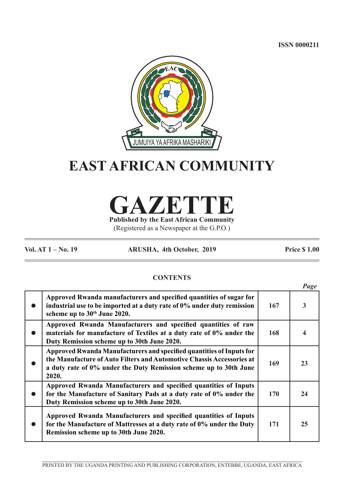**ISSN 0000211**



# **EAST AFRICAN COMMUNITY**

**GAZETTE Published by the East African Community**

(Registered as a Newspaper at the G.P.O.)

**Vol. AT 1 – No. 19 ARUSHA, 4th October, 2019 Price \$ 1.00**

# **CONTENTS**

|                                                                                                                                                                                                                             |     | Page |
|-----------------------------------------------------------------------------------------------------------------------------------------------------------------------------------------------------------------------------|-----|------|
| Approved Rwanda manufacturers and specified quantities of sugar for<br>industrial use to be imported at a duty rate of 0% under duty remission<br>scheme up to 30 <sup>th</sup> June 2020.                                  | 167 | 3    |
| Approved Rwanda Manufacturers and specified quantities of raw<br>materials for manufacture of Textiles at a duty rate of 0% under the<br>Duty Remission scheme up to 30th June 2020.                                        | 168 |      |
| Approved Rwanda Manufacturers and specified quantities of Inputs for<br>the Manufacture of Auto Filters and Automotive Chassis Accessories at<br>a duty rate of 0% under the Duty Remission scheme up to 30th June<br>2020. | 169 | 23   |
| Approved Rwanda Manufacturers and specified quantities of Inputs<br>for the Manufacture of Sanitary Pads at a duty rate of 0% under the<br>Duty Remission scheme up to 30th June 2020.                                      | 170 | 24   |
| Approved Rwanda Manufacturers and specified quantities of Inputs<br>for the Manufacture of Mattresses at a duty rate of 0% under the Duty<br>Remission scheme up to 30th June 2020.                                         | 171 | 25   |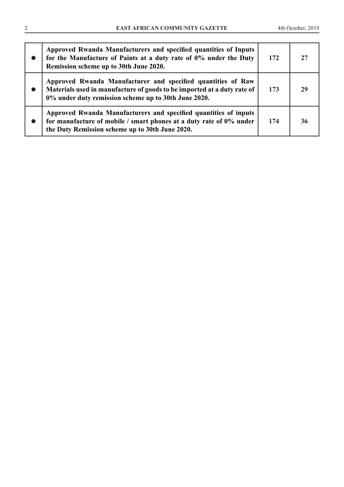| Approved Rwanda Manufacturers and specified quantities of Inputs<br>for the Manufacture of Paints at a duty rate of 0% under the Duty<br>Remission scheme up to 30th June 2020.                 | 172 | 27 |
|-------------------------------------------------------------------------------------------------------------------------------------------------------------------------------------------------|-----|----|
| Approved Rwanda Manufacturer and specified quantities of Raw<br>Materials used in manufacture of goods to be imported at a duty rate of<br>0% under duty remission scheme up to 30th June 2020. | 173 | 29 |
| Approved Rwanda Manufacturers and specified quantities of inputs<br>for manufacture of mobile / smart phones at a duty rate of $0\%$ under<br>the Duty Remission scheme up to 30th June 2020.   | 174 | 36 |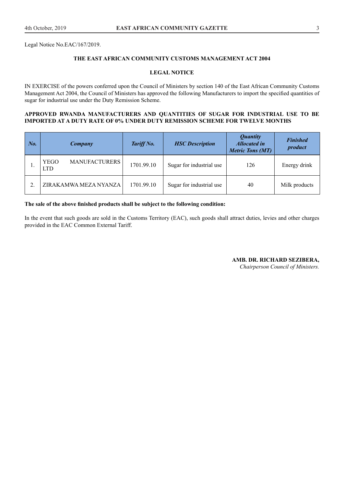Legal Notice No.EAC/167/2019.

## **THE EAST AFRICAN COMMUNITY CUSTOMS MANAGEMENT ACT 2004**

#### **LEGAL NOTICE**

IN EXERCISE of the powers conferred upon the Council of Ministers by section 140 of the East African Community Customs Management Act 2004, the Council of Ministers has approved the following Manufacturers to import the specified quantities of sugar for industrial use under the Duty Remission Scheme.

## **APPROVED RWANDA MANUFACTURERS AND QUANTITIES OF SUGAR FOR INDUSTRIAL USE TO BE IMPORTED AT A DUTY RATE OF 0% UNDER DUTY REMISSION SCHEME FOR TWELVE MONTHS**

| $N_{0}$ |                           | Company               | Tariff No. | <b>HSC</b> Description   | <b>Quantity</b><br><b>Allocated in</b><br><b>Metric Tons (MT)</b> | <b>Finished</b><br>product |
|---------|---------------------------|-----------------------|------------|--------------------------|-------------------------------------------------------------------|----------------------------|
|         | <b>YEGO</b><br><b>LTD</b> | <b>MANUFACTURERS</b>  | 1701.99.10 | Sugar for industrial use | 126                                                               | Energy drink               |
|         |                           | ZIRAKAMWA MEZA NYANZA | 1701.99.10 | Sugar for industrial use | 40                                                                | Milk products              |

#### **The sale of the above finished products shall be subject to the following condition:**

In the event that such goods are sold in the Customs Territory (EAC), such goods shall attract duties, levies and other charges provided in the EAC Common External Tariff.

**AMB. DR. RICHARD SEZIBERA,**

*Chairperson Council of Ministers.*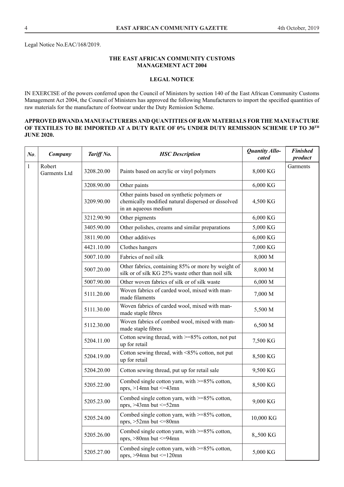Legal Notice No.EAC/168/2019.

## **THE EAST AFRICAN COMMUNITY CUSTOMS MANAGEMENT ACT 2004**

## **LEGAL NOTICE**

IN EXERCISE of the powers conferred upon the Council of Ministers by section 140 of the East African Community Customs Management Act 2004, the Council of Ministers has approved the following Manufacturers to import the specified quantities of raw materials for the manufacture of footwear under the Duty Remission Scheme.

## **APPROVED RWANDA MANUFACTURERS AND QUANTITIES OF RAW MATERIALS FOR THE MANUFACTURE OF TEXTILES TO BE IMPORTED AT A DUTY RATE OF 0% UNDER DUTY REMISSION SCHEME UP TO 30TH JUNE 2020.**

| $N\bm{o}$ .  | Company                | Tariff No. | <b>HSC</b> Description                                                                                                    | Quantity Allo-<br>cated | <b>Finished</b><br>product |
|--------------|------------------------|------------|---------------------------------------------------------------------------------------------------------------------------|-------------------------|----------------------------|
| $\mathbf{1}$ | Robert<br>Garments Ltd | 3208.20.00 | Paints based on acrylic or vinyl polymers                                                                                 | 8,000 KG                | Garments                   |
|              |                        | 3208.90.00 | Other paints                                                                                                              | 6,000 KG                |                            |
|              |                        | 3209.90.00 | Other paints based on synthetic polymers or<br>chemically modified natural dispersed or dissolved<br>in an aqueous medium | 4,500 KG                |                            |
|              |                        | 3212.90.90 | Other pigments                                                                                                            | 6,000 KG                |                            |
|              |                        | 3405.90.00 | Other polishes, creams and similar preparations                                                                           | 5,000 KG                |                            |
|              |                        | 3811.90.00 | Other additives                                                                                                           | 6,000 KG                |                            |
|              |                        | 4421.10.00 | Clothes hangers                                                                                                           | 7,000 KG                |                            |
|              |                        | 5007.10.00 | Fabrics of noil silk                                                                                                      | 8,000 M                 |                            |
|              |                        | 5007.20.00 | Other fabrics, containing 85% or more by weight of<br>silk or of silk KG 25% waste other than noil silk                   | 8,000 M                 |                            |
|              |                        | 5007.90.00 | Other woven fabrics of silk or of silk waste                                                                              | 6,000 M                 |                            |
|              |                        | 5111.20.00 | Woven fabrics of carded wool, mixed with man-<br>made filaments                                                           | 7,000 M                 |                            |
|              |                        | 5111.30.00 | Woven fabrics of carded wool, mixed with man-<br>made staple fibres                                                       | 5,500 M                 |                            |
|              |                        | 5112.30.00 | Woven fabrics of combed wool, mixed with man-<br>made staple fibres                                                       | 6,500 M                 |                            |
|              |                        | 5204.11.00 | Cotton sewing thread, with >=85% cotton, not put<br>up for retail                                                         | 7,500 KG                |                            |
|              |                        | 5204.19.00 | Cotton sewing thread, with <85% cotton, not put<br>up for retail                                                          | 8,500 KG                |                            |
|              |                        | 5204.20.00 | Cotton sewing thread, put up for retail sale                                                                              | 9,500 KG                |                            |
|              |                        | 5205.22.00 | Combed single cotton yarn, with >=85% cotton,<br>nprs, $>14$ mn but $\leq$ =43mn                                          | 8,500 KG                |                            |
|              |                        | 5205.23.00 | Combed single cotton yarn, with $\geq$ =85% cotton,<br>nprs, >43mn but <= 52mn                                            | 9,000 KG                |                            |
|              |                        | 5205.24.00 | Combed single cotton yarn, with $>=85\%$ cotton,<br>nprs, $>52$ mn but $\leq 80$ mn                                       | 10,000 KG               |                            |
|              |                        | 5205.26.00 | Combed single cotton yarn, with $\geq$ =85% cotton,<br>nprs, >80mn but <= 94mn                                            | 8,,500 KG               |                            |
|              |                        | 5205.27.00 | Combed single cotton yarn, with >=85% cotton,<br>nprs, $>94$ mn but $\leq 120$ mn                                         | 5,000 KG                |                            |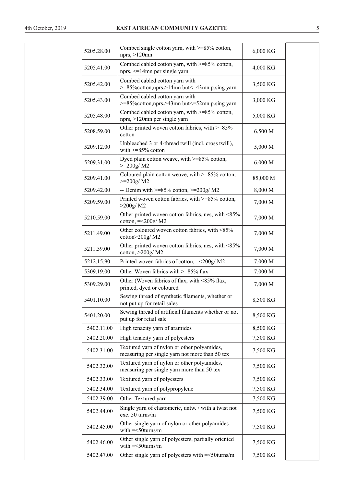| 5205.28.00 | Combed single cotton yarn, with $>=85\%$ cotton,<br>nprs, >120mn                              | 6,000 KG |  |
|------------|-----------------------------------------------------------------------------------------------|----------|--|
| 5205.41.00 | Combed cabled cotton yarn, with >=85% cotton,<br>nprs, <= 14mn per single yarn                | 4,000 KG |  |
| 5205.42.00 | Combed cabled cotton yarn with<br>>=85% cotton, nprs, >14mn but <= 43mn p.sing yarn           | 3,500 KG |  |
| 5205.43.00 | Combed cabled cotton yarn with<br>>=85% cotton, nprs, >43mn but <= 52mn p.sing yarn           | 3,000 KG |  |
| 5205.48.00 | Combed cabled cotton yarn, with >=85% cotton,<br>nprs, >120mn per single yarn                 | 5,000 KG |  |
| 5208.59.00 | Other printed woven cotton fabrics, with >=85%<br>cotton                                      | 6,500 M  |  |
| 5209.12.00 | Unbleached 3 or 4-thread twill (incl. cross twill),<br>with $>= 85\%$ cotton                  | 5,000 M  |  |
| 5209.31.00 | Dyed plain cotton weave, with $>=85\%$ cotton,<br>$>=200g/M2$                                 | 6,000 M  |  |
| 5209.41.00 | Coloured plain cotton weave, with $>=85\%$ cotton,<br>$>=200g/M2$                             | 85,000 M |  |
| 5209.42.00 | -- Denim with $>= 85\%$ cotton, $>= 200g/M2$                                                  | 8,000 M  |  |
| 5209.59.00 | Printed woven cotton fabrics, with >=85% cotton,<br>>200g/M2                                  | 7,000 M  |  |
| 5210.59.00 | Other printed woven cotton fabrics, nes, with <85%<br>cotton, $=<200g/M2$                     | 7,000 M  |  |
| 5211.49.00 | Other coloured woven cotton fabrics, with <85%<br>cotton>200g/M2                              | 7,000 M  |  |
| 5211.59.00 | Other printed woven cotton fabrics, nes, with <85%<br>cotton, $>200g/M2$                      | 7,000 M  |  |
| 5212.15.90 | Printed woven fabrics of cotton, =<200g/ M2                                                   | 7,000 M  |  |
| 5309.19.00 | Other Woven fabrics with >=85% flax                                                           | 7,000 M  |  |
| 5309.29.00 | Other (Woven fabrics of flax, with <85% flax,<br>printed, dyed or coloured                    | 7,000 M  |  |
| 5401.10.00 | Sewing thread of synthetic filaments, whether or<br>not put up for retail sales               | 8,500 KG |  |
| 5401.20.00 | Sewing thread of artificial filaments whether or not<br>put up for retail sale                | 8,500 KG |  |
| 5402.11.00 | High tenacity yarn of aramides                                                                | 8,500 KG |  |
| 5402.20.00 | High tenacity yarn of polyesters                                                              | 7,500 KG |  |
| 5402.31.00 | Textured yarn of nylon or other polyamides,<br>measuring per single yarn not more than 50 tex | 7,500 KG |  |
| 5402.32.00 | Textured yarn of nylon or other polyamides,<br>measuring per single yarn more than 50 tex     | 7,500 KG |  |
| 5402.33.00 | Textured yarn of polyesters                                                                   | 7,500 KG |  |
| 5402.34.00 | Textured yarn of polypropylene                                                                | 7,500 KG |  |
| 5402.39.00 | Other Textured yarn                                                                           | 7,500 KG |  |
| 5402.44.00 | Single yarn of elastomeric, untw. / with a twist not<br>exc. 50 turns/m                       | 7,500 KG |  |
| 5402.45.00 | Other single yarn of nylon or other polyamides<br>with $=<50$ turns/m                         | 7,500 KG |  |
| 5402.46.00 | Other single yarn of polyesters, partially oriented<br>with $=<50$ turns/m                    | 7,500 KG |  |
| 5402.47.00 | Other single yarn of polyesters with =<50turns/m                                              | 7,500 KG |  |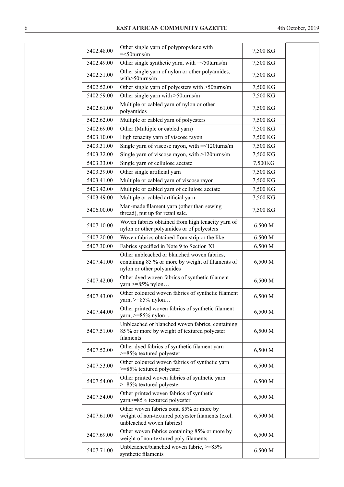| 5402.48.00 | Other single yarn of polypropylene with<br>$=<50$ turns/m                                                                     | 7,500 KG |  |
|------------|-------------------------------------------------------------------------------------------------------------------------------|----------|--|
| 5402.49.00 | Other single synthetic yarn, with = < 50 turns/m                                                                              | 7,500 KG |  |
| 5402.51.00 | Other single yarn of nylon or other polyamides,<br>with>50turns/m                                                             | 7,500 KG |  |
| 5402.52.00 | Other single yarn of polyesters with >50turns/m                                                                               | 7,500 KG |  |
| 5402.59.00 | Other single yarn with >50turns/m                                                                                             | 7,500 KG |  |
| 5402.61.00 | Multiple or cabled yarn of nylon or other<br>polyamides                                                                       | 7,500 KG |  |
| 5402.62.00 | Multiple or cabled yarn of polyesters                                                                                         | 7,500 KG |  |
| 5402.69.00 | Other (Multiple or cabled yarn)                                                                                               | 7,500 KG |  |
| 5403.10.00 | High tenacity yarn of viscose rayon                                                                                           | 7,500 KG |  |
| 5403.31.00 | Single yarn of viscose rayon, with =<120turns/m                                                                               | 7,500 KG |  |
| 5403.32.00 | Single yarn of viscose rayon, with >120turns/m                                                                                | 7,500 KG |  |
| 5403.33.00 | Single yarn of cellulose acetate                                                                                              | 7,500KG  |  |
| 5403.39.00 | Other single artificial yarn                                                                                                  | 7,500 KG |  |
| 5403.41.00 | Multiple or cabled yarn of viscose rayon                                                                                      | 7,500 KG |  |
| 5403.42.00 | Multiple or cabled yarn of cellulose acetate                                                                                  | 7,500 KG |  |
| 5403.49.00 | Multiple or cabled artificial yarn                                                                                            | 7,500 KG |  |
| 5406.00.00 | Man-made filament yarn (other than sewing<br>thread), put up for retail sale.                                                 | 7,500 KG |  |
| 5407.10.00 | Woven fabrics obtained from high tenacity yarn of<br>nylon or other polyamides or of polyesters                               | 6,500 M  |  |
| 5407.20.00 | Woven fabrics obtained from strip or the like                                                                                 | 6,500 M  |  |
| 5407.30.00 | Fabrics specified in Note 9 to Section XI                                                                                     | 6,500 M  |  |
| 5407.41.00 | Other unbleached or blanched woven fabrics,<br>containing 85 % or more by weight of filaments of<br>nylon or other polyamides | 6,500 M  |  |
| 5407.42.00 | Other dyed woven fabrics of synthetic filament<br>yarn $>= 85\%$ nylon                                                        | 6,500 M  |  |
| 5407.43.00 | Other coloured woven fabrics of synthetic filament<br>yarn, >=85% nylon.                                                      | 6,500 M  |  |
| 5407.44.00 | Other printed woven fabrics of synthetic filament<br>yarn, $>= 85\%$ nylon                                                    | 6,500 M  |  |
| 5407.51.00 | Unbleached or blanched woven fabrics, containing<br>85 % or more by weight of textured polyester<br>filaments                 | 6,500 M  |  |
| 5407.52.00 | Other dyed fabrics of synthetic filament yarn<br>$>= 85\%$ textured polyester                                                 | 6,500 M  |  |
| 5407.53.00 | Other coloured woven fabrics of synthetic yarn<br>>=85% textured polyester                                                    | 6,500 M  |  |
| 5407.54.00 | Other printed woven fabrics of synthetic yarn<br>>=85% textured polyester                                                     | 6,500 M  |  |
| 5407.54.00 | Other printed woven fabrics of synthetic<br>yarn>=85% textured polyester                                                      | 6,500 M  |  |
| 5407.61.00 | Other woven fabrics cont. 85% or more by<br>weight of non-textured polyester filaments (excl.<br>unbleached woven fabrics)    | 6,500 M  |  |
| 5407.69.00 | Other woven fabrics containing 85% or more by<br>weight of non-textured poly filaments                                        | 6,500 M  |  |
| 5407.71.00 | Unbleached/blanched woven fabric, >=85%<br>synthetic filaments                                                                | 6,500 M  |  |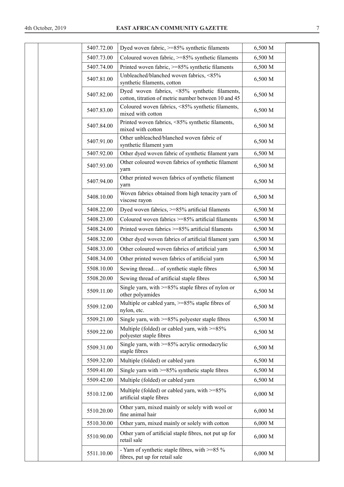| 5407.72.00 | Dyed woven fabric, >=85% synthetic filaments                                                          | 6,500 M |  |
|------------|-------------------------------------------------------------------------------------------------------|---------|--|
| 5407.73.00 | Coloured woven fabric, >=85% synthetic filaments                                                      | 6,500 M |  |
| 5407.74.00 | Printed woven fabric, >=85% synthetic filaments                                                       | 6,500 M |  |
| 5407.81.00 | Unbleached/blanched woven fabrics, <85%<br>synthetic filaments, cotton                                | 6,500 M |  |
| 5407.82.00 | Dyed woven fabrics, <85% synthetic filaments,<br>cotton, titration of metric number between 10 and 45 | 6,500 M |  |
| 5407.83.00 | Coloured woven fabrics, <85% synthetic filaments,<br>mixed with cotton                                | 6,500 M |  |
| 5407.84.00 | Printed woven fabrics, <85% synthetic filaments,<br>mixed with cotton                                 | 6,500 M |  |
| 5407.91.00 | Other unbleached/blanched woven fabric of<br>synthetic filament yarn                                  | 6,500 M |  |
| 5407.92.00 | Other dyed woven fabric of synthetic filament yarn                                                    | 6,500 M |  |
| 5407.93.00 | Other coloured woven fabrics of synthetic filament<br>yarn                                            | 6,500 M |  |
| 5407.94.00 | Other printed woven fabrics of synthetic filament<br>yarn                                             | 6,500 M |  |
| 5408.10.00 | Woven fabrics obtained from high tenacity yarn of<br>viscose rayon                                    | 6,500 M |  |
| 5408.22.00 | Dyed woven fabrics, >=85% artificial filaments                                                        | 6,500 M |  |
| 5408.23.00 | Coloured woven fabrics >=85% artificial filaments                                                     | 6,500 M |  |
| 5408.24.00 | Printed woven fabrics >=85% artificial filaments                                                      | 6,500 M |  |
| 5408.32.00 | Other dyed woven fabrics of artificial filament yarn                                                  | 6,500 M |  |
| 5408.33.00 | Other coloured woven fabrics of artificial yarn                                                       | 6,500 M |  |
| 5408.34.00 | Other printed woven fabrics of artificial yarn                                                        | 6,500 M |  |
| 5508.10.00 | Sewing thread of synthetic staple fibres                                                              | 6,500 M |  |
| 5508.20.00 | Sewing thread of artificial staple fibres                                                             | 6,500 M |  |
| 5509.11.00 | Single yarn, with $>= 85\%$ staple fibres of nylon or<br>other polyamides                             | 6,500 M |  |
| 5509.12.00 | Multiple or cabled yarn, >=85% staple fibres of<br>nylon, etc.                                        | 6,500 M |  |
| 5509.21.00 | Single yarn, with $>= 85\%$ polyester staple fibres                                                   | 6,500 M |  |
| 5509.22.00 | Multiple (folded) or cabled yarn, with $>= 85\%$<br>polyester staple fibres                           | 6,500 M |  |
| 5509.31.00 | Single yarn, with >=85% acrylic ormodacrylic<br>staple fibres                                         | 6,500 M |  |
| 5509.32.00 | Multiple (folded) or cabled yarn                                                                      | 6,500 M |  |
| 5509.41.00 | Single yarn with $>= 85\%$ synthetic staple fibres                                                    | 6,500 M |  |
| 5509.42.00 | Multiple (folded) or cabled yarn                                                                      | 6,500 M |  |
| 5510.12.00 | Multiple (folded) or cabled yarn, with >=85%<br>artificial staple fibres                              | 6,000 M |  |
| 5510.20.00 | Other yarn, mixed mainly or solely with wool or<br>fine animal hair                                   | 6,000 M |  |
| 5510.30.00 | Other yarn, mixed mainly or solely with cotton                                                        | 6,000 M |  |
| 5510.90.00 | Other yarn of artificial staple fibres, not put up for<br>retail sale                                 | 6,000 M |  |
| 5511.10.00 | - Yarn of synthetic staple fibres, with >=85 %<br>fibres, put up for retail sale                      | 6,000 M |  |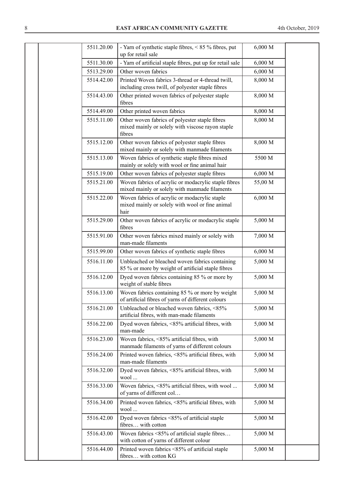| 5511.20.00 | - Yarn of synthetic staple fibres, $< 85 \%$ fibres, put<br>up for retail sale                               | 6,000 M |  |
|------------|--------------------------------------------------------------------------------------------------------------|---------|--|
| 5511.30.00 | - Yarn of artificial staple fibres, put up for retail sale                                                   | 6,000 M |  |
| 5513.29.00 | Other woven fabrics                                                                                          | 6,000 M |  |
| 5514.42.00 | Printed Woven fabrics 3-thread or 4-thread twill,<br>including cross twill, of polyester staple fibres       | 8,000 M |  |
| 5514.43.00 | Other printed woven fabrics of polyester staple<br>fibres                                                    | 8,000 M |  |
| 5514.49.00 | Other printed woven fabrics                                                                                  | 8,000 M |  |
| 5515.11.00 | Other woven fabrics of polyester staple fibres<br>mixed mainly or solely with viscose rayon staple<br>fibres | 8,000 M |  |
| 5515.12.00 | Other woven fabrics of polyester staple fibres<br>mixed mainly or solely with manmade filaments              | 8,000 M |  |
| 5515.13.00 | Woven fabrics of synthetic staple fibres mixed<br>mainly or solely with wool or fine animal hair             | 5500 M  |  |
| 5515.19.00 | Other woven fabrics of polyester staple fibres                                                               | 6,000 M |  |
| 5515.21.00 | Woven fabrics of acrylic or modacrylic staple fibres<br>mixed mainly or solely with manmade filaments        | 55,00 M |  |
| 5515.22.00 | Woven fabrics of acrylic or modacrylic staple<br>mixed mainly or solely with wool or fine animal<br>hair     | 6,000 M |  |
| 5515.29.00 | Other woven fabrics of acrylic or modacrylic staple<br>fibres                                                | 5,000 M |  |
| 5515.91.00 | Other woven fabrics mixed mainly or solely with<br>man-made filaments                                        | 7,000 M |  |
| 5515.99.00 | Other woven fabrics of synthetic staple fibres                                                               | 6,000 M |  |
| 5516.11.00 | Unbleached or bleached woven fabrics containing<br>85 % or more by weight of artificial staple fibres        | 5,000 M |  |
| 5516.12.00 | Dyed woven fabrics containing 85 % or more by<br>weight of stable fibres                                     | 5,000 M |  |
| 5516.13.00 | Woven fabrics containing 85 % or more by weight<br>of artificial fibres of yarns of different colours        | 5,000 M |  |
| 5516.21.00 | Unbleached or bleached woven fabrics, <85%<br>artificial fibres, with man-made filaments                     | 5,000 M |  |
| 5516.22.00 | Dyed woven fabrics, <85% artificial fibres, with<br>man-made                                                 | 5,000 M |  |
| 5516.23.00 | Woven fabrics, <85% artificial fibres, with<br>manmade filaments of yarns of different colours               | 5,000 M |  |
| 5516.24.00 | Printed woven fabrics, <85% artificial fibres, with<br>man-made filaments                                    | 5,000 M |  |
| 5516.32.00 | Dyed woven fabrics, <85% artificial fibres, with<br>wool                                                     | 5,000 M |  |
| 5516.33.00 | Woven fabrics, <85% artificial fibres, with wool<br>of yarns of different col                                | 5,000 M |  |
| 5516.34.00 | Printed woven fabrics, <85% artificial fibres, with<br>wool                                                  | 5,000 M |  |
| 5516.42.00 | Dyed woven fabrics <85% of artificial staple<br>fibres with cotton                                           | 5,000 M |  |
| 5516.43.00 | Woven fabrics <85% of artificial staple fibres<br>with cotton of yarns of different colour                   | 5,000 M |  |
| 5516.44.00 | Printed woven fabrics <85% of artificial staple<br>fibres with cotton KG                                     | 5,000 M |  |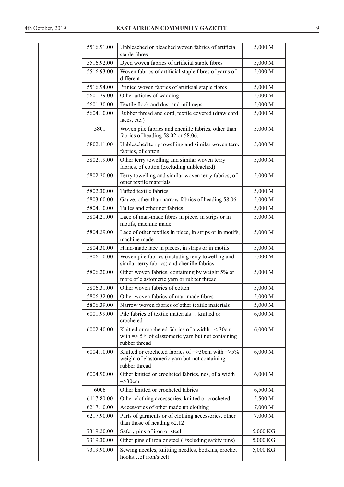| 5516.91.00 | Unbleached or bleached woven fabrics of artificial<br>staple fibres                                                               | 5,000 M  |  |
|------------|-----------------------------------------------------------------------------------------------------------------------------------|----------|--|
| 5516.92.00 | Dyed woven fabrics of artificial staple fibres                                                                                    | 5,000 M  |  |
| 5516.93.00 | Woven fabrics of artificial staple fibres of yarns of<br>different                                                                | 5,000 M  |  |
| 5516.94.00 | Printed woven fabrics of artificial staple fibres                                                                                 | 5,000 M  |  |
| 5601.29.00 | Other articles of wadding                                                                                                         | 5,000 M  |  |
| 5601.30.00 | Textile flock and dust and mill neps                                                                                              | 5,000 M  |  |
| 5604.10.00 | Rubber thread and cord, textile covered (draw cord<br>laces, etc.)                                                                | 5,000 M  |  |
| 5801       | Woven pile fabrics and chenille fabrics, other than<br>fabrics of heading 58.02 or 58.06.                                         | 5,000 M  |  |
| 5802.11.00 | Unbleached terry towelling and similar woven terry<br>fabrics, of cotton                                                          | 5,000 M  |  |
| 5802.19.00 | Other terry towelling and similar woven terry<br>fabrics, of cotton (excluding unbleached)                                        | 5,000 M  |  |
| 5802.20.00 | Terry towelling and similar woven terry fabrics, of<br>other textile materials                                                    | 5,000 M  |  |
| 5802.30.00 | Tufted textile fabrics                                                                                                            | 5,000 M  |  |
| 5803.00.00 | Gauze, other than narrow fabrics of heading 58.06                                                                                 | 5,000 M  |  |
| 5804.10.00 | Tulles and other net fabrics                                                                                                      | 5,000 M  |  |
| 5804.21.00 | Lace of man-made fibres in piece, in strips or in<br>motifs, machine made                                                         | 5,000 M  |  |
| 5804.29.00 | Lace of other textiles in piece, in strips or in motifs,<br>machine made                                                          | 5,000 M  |  |
| 5804.30.00 | Hand-made lace in pieces, in strips or in motifs                                                                                  | 5,000 M  |  |
| 5806.10.00 | Woven pile fabrics (including terry towelling and<br>similar terry fabrics) and chenille fabrics                                  | 5,000 M  |  |
| 5806.20.00 | Other woven fabrics, containing by weight 5% or<br>more of elastomeric yarn or rubber thread                                      | 5,000 M  |  |
| 5806.31.00 | Other woven fabrics of cotton                                                                                                     | 5,000 M  |  |
| 5806.32.00 | Other woven fabrics of man-made fibres                                                                                            | 5,000 M  |  |
| 5806.39.00 | Narrow woven fabrics of other textile materials                                                                                   | 5,000 M  |  |
| 6001.99.00 | Pile fabrics of textile materials knitted or<br>crocheted                                                                         | 6,000 M  |  |
| 6002.40.00 | Knitted or crocheted fabrics of a width = < 30cm<br>with $\Rightarrow$ 5% of elastomeric yarn but not containing<br>rubber thread | 6,000 M  |  |
| 6004.10.00 | Knitted or crocheted fabrics of =>30cm with => $5\%$<br>weight of elastomeric yarn but not containing<br>rubber thread            | 6,000 M  |  |
| 6004.90.00 | Other knitted or crocheted fabrics, nes, of a width<br>$=\geq 30$ cm                                                              | 6,000 M  |  |
| 6006       | Other knitted or crocheted fabrics                                                                                                | 6,500 M  |  |
| 6117.80.00 | Other clothing accessories, knitted or crocheted                                                                                  | 5,500 M  |  |
| 6217.10.00 | Accessories of other made up clothing                                                                                             | 7,000 M  |  |
| 6217.90.00 | Parts of garments or of clothing accessories, other<br>than those of heading 62.12                                                | 7,000 M  |  |
| 7319.20.00 | Safety pins of iron or steel                                                                                                      | 5,000 KG |  |
| 7319.30.00 | Other pins of iron or steel (Excluding safety pins)                                                                               | 5,000 KG |  |
| 7319.90.00 | Sewing needles, knitting needles, bodkins, crochet<br>hooksof iron/steel)                                                         | 5,000 KG |  |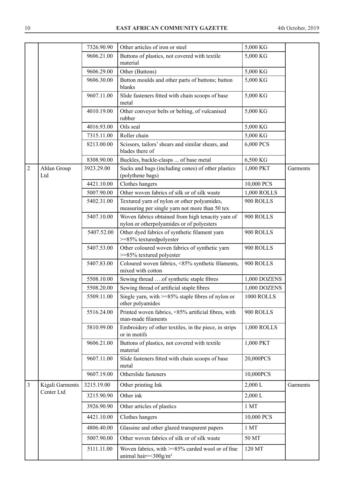|                |                               | 7326.90.90 | Other articles of iron or steel                                                                | 5,000 KG        |          |
|----------------|-------------------------------|------------|------------------------------------------------------------------------------------------------|-----------------|----------|
|                |                               | 9606.21.00 | Buttons of plastics, not covered with textile<br>material                                      | 5,000 KG        |          |
|                |                               | 9606.29.00 | Other (Buttons)                                                                                | 5,000 KG        |          |
|                |                               | 9606.30.00 | Button moulds and other parts of buttons; button<br>blanks                                     | 5,000 KG        |          |
|                |                               | 9607.11.00 | Slide fasteners fitted with chain scoops of base<br>metal                                      | 5,000 KG        |          |
|                |                               | 4010.19.00 | Other conveyor belts or belting, of vulcanised<br>rubber                                       | 5,000 KG        |          |
|                |                               | 4016.93.00 | Oils seal                                                                                      | 5,000 KG        |          |
|                |                               | 7315.11.00 | Roller chain                                                                                   | 5,000 KG        |          |
|                |                               | 8213.00.00 | Scissors, tailors' shears and similar shears, and<br>blades there of                           | 6,000 PCS       |          |
|                |                               | 8308.90.00 | Buckles, buckle-clasps  of base metal                                                          | 6,500 KG        |          |
| $\overline{2}$ | Ahlan Group<br>Ltd            | 3923.29.00 | Sacks and bags (including cones) of other plastics<br>(polythene bags)                         | 1,000 PKT       | Garments |
|                |                               | 4421.10.00 | Clothes hangers                                                                                | 10,000 PCS      |          |
|                |                               | 5007.90.00 | Other woven fabrics of silk or of silk waste                                                   | 1,000 ROLLS     |          |
|                |                               | 5402.31.00 | Textured yarn of nylon or other polyamides,<br>measuring per single yarn not more than 50 tex  | 900 ROLLS       |          |
|                |                               | 5407.10.00 | Woven fabrics obtained from high tenacity yarn of<br>nylon or otherpolyamides or of polyesters | 900 ROLLS       |          |
|                |                               | 5407.52.00 | Other dyed fabrics of synthetic filament yarn<br>>=85% texturedpolyester                       | 900 ROLLS       |          |
|                |                               | 5407.53.00 | Other coloured woven fabrics of synthetic yarn<br>>=85% textured polyester                     | 900 ROLLS       |          |
|                |                               | 5407.83.00 | Coloured woven fabrics, <85% synthetic filaments,<br>mixed with cotton                         | 900 ROLLS       |          |
|                |                               | 5508.10.00 | Sewing thread of synthetic staple fibres                                                       | 1,000 DOZENS    |          |
|                |                               | 5508.20.00 | Sewing thread of artificial staple fibres                                                      | 1,000 DOZENS    |          |
|                |                               | 5509.11.00 | Single yarn, with $>= 85\%$ staple fibres of nylon or<br>other polyamides                      | 1000 ROLLS      |          |
|                |                               | 5516.24.00 | Printed woven fabrics, <85% artificial fibres, with<br>man-made filaments                      | 900 ROLLS       |          |
|                |                               | 5810.99.00 | Embroidery of other textiles, in the piece, in strips<br>or in motifs                          | 1,000 ROLLS     |          |
|                |                               | 9606.21.00 | Buttons of plastics, not covered with textile<br>material                                      | 1,000 PKT       |          |
|                |                               | 9607.11.00 | Slide fasteners fitted with chain scoops of base<br>metal                                      | 20,000PCS       |          |
|                |                               | 9607.19.00 | Otherslide fasteners                                                                           | 10,000PCS       |          |
| 3              | Kigali Garments<br>Center Ltd | 3215.19.00 | Other printing Ink                                                                             | 2,000 L         | Garments |
|                |                               | 3215.90.90 | Other ink                                                                                      | 2,000 L         |          |
|                |                               | 3926.90.90 | Other articles of plastics                                                                     | 1 <sub>MT</sub> |          |
|                |                               | 4421.10.00 | Clothes hangers                                                                                | 10,000 PCS      |          |
|                |                               | 4806.40.00 | Glassine and other glazed transparent papers                                                   | 1MT             |          |
|                |                               | 5007.90.00 | Other woven fabrics of silk or of silk waste                                                   | 50 MT           |          |
|                |                               | 5111.11.00 | Woven fabrics, with >=85% carded wool or of fine<br>animal hair=<300g/m <sup>2</sup>           | 120 MT          |          |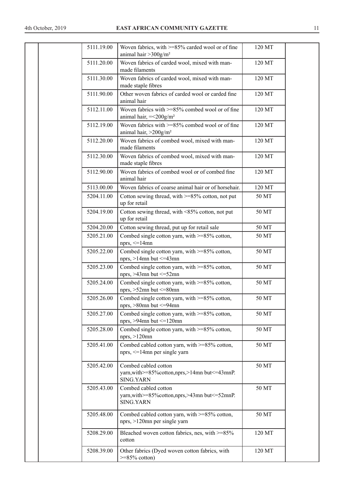|  | 5111.19.00 | Woven fabrics, with >=85% carded wool or of fine<br>animal hair $>$ 300g/m <sup>2</sup>        | 120 MT |  |
|--|------------|------------------------------------------------------------------------------------------------|--------|--|
|  | 5111.20.00 | Woven fabrics of carded wool, mixed with man-<br>made filaments                                | 120 MT |  |
|  | 5111.30.00 | Woven fabrics of carded wool, mixed with man-<br>made staple fibres                            | 120 MT |  |
|  | 5111.90.00 | Other woven fabrics of carded wool or carded fine<br>animal hair                               | 120 MT |  |
|  | 5112.11.00 | Woven fabrics with >=85% combed wool or of fine<br>animal hair, $=<200g/m2$                    | 120 MT |  |
|  | 5112.19.00 | Woven fabrics with >=85% combed wool or of fine<br>animal hair, $>200$ g/m <sup>2</sup>        | 120 MT |  |
|  | 5112.20.00 | Woven fabrics of combed wool, mixed with man-<br>made filaments                                | 120 MT |  |
|  | 5112.30.00 | Woven fabrics of combed wool, mixed with man-<br>made staple fibres                            | 120 MT |  |
|  | 5112.90.00 | Woven fabrics of combed wool or of combed fine<br>animal hair                                  | 120 MT |  |
|  | 5113.00.00 | Woven fabrics of coarse animal hair or of horsehair.                                           | 120 MT |  |
|  | 5204.11.00 | Cotton sewing thread, with >=85% cotton, not put<br>up for retail                              | 50 MT  |  |
|  | 5204.19.00 | Cotton sewing thread, with <85% cotton, not put<br>up for retail                               | 50 MT  |  |
|  | 5204.20.00 | Cotton sewing thread, put up for retail sale                                                   | 50 MT  |  |
|  | 5205.21.00 | Combed single cotton yarn, with >=85% cotton,<br>nprs, $\leq$ 14mn                             | 50 MT  |  |
|  | 5205.22.00 | Combed single cotton yarn, with >=85% cotton,<br>nprs, $>14$ mn but $\leq$ =43mn               | 50 MT  |  |
|  | 5205.23.00 | Combed single cotton yarn, with $\geq$ =85% cotton,<br>nprs, $>43$ mn but $\leq 52$ mn         | 50 MT  |  |
|  | 5205.24.00 | Combed single cotton yarn, with $\geq$ =85% cotton,<br>nprs, $>52$ mn but $\leq 80$ mn         | 50 MT  |  |
|  | 5205.26.00 | Combed single cotton yarn, with $\geq$ =85% cotton,<br>nprs, $>80$ mn but $\leq=94$ mn         | 50 MT  |  |
|  | 5205.27.00 | Combed single cotton yarn, with $\geq$ =85% cotton,<br>nprs, $>94$ mn but $\leq 120$ mn        | 50 MT  |  |
|  | 5205.28.00 | Combed single cotton yarn, with >=85% cotton,<br>nprs, $>120$ mn                               | 50 MT  |  |
|  | 5205.41.00 | Combed cabled cotton yarn, with >=85% cotton,<br>nprs, <= 14mn per single yarn                 | 50 MT  |  |
|  | 5205.42.00 | Combed cabled cotton<br>yarn, with >=85% cotton, nprs, >14mn but <= 43mnP.<br><b>SING.YARN</b> | 50 MT  |  |
|  | 5205.43.00 | Combed cabled cotton<br>yarn, with >=85% cotton, nprs, >43mn but <= 52mnP.<br><b>SING.YARN</b> | 50 MT  |  |
|  | 5205.48.00 | Combed cabled cotton yarn, with >=85% cotton,<br>nprs, >120mn per single yarn                  | 50 MT  |  |
|  | 5208.29.00 | Bleached woven cotton fabrics, nes, with >=85%<br>cotton                                       | 120 MT |  |
|  | 5208.39.00 | Other fabrics (Dyed woven cotton fabrics, with<br>$>=85\%$ cotton)                             | 120 MT |  |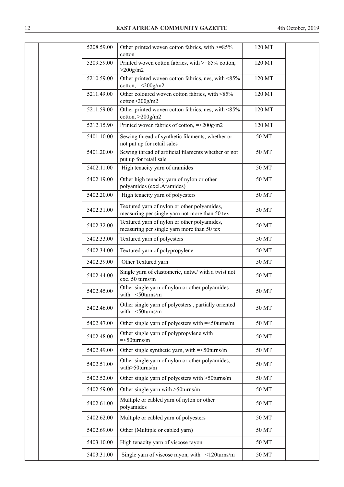| 5208.59.00 | Other printed woven cotton fabrics, with >=85%<br>cotton                                      | 120 MT |  |
|------------|-----------------------------------------------------------------------------------------------|--------|--|
| 5209.59.00 | Printed woven cotton fabrics, with >=85% cotton,<br>$>200$ g/m2                               | 120 MT |  |
| 5210.59.00 | Other printed woven cotton fabrics, nes, with <85%<br>cotton, $=<200g/m2$                     | 120 MT |  |
| 5211.49.00 | Other coloured woven cotton fabrics, with <85%<br>cotton>200g/m2                              | 120 MT |  |
| 5211.59.00 | Other printed woven cotton fabrics, nes, with <85%<br>cotton, $>200$ g/m2                     | 120 MT |  |
| 5212.15.90 | Printed woven fabrics of cotton, =<200g/m2                                                    | 120 MT |  |
| 5401.10.00 | Sewing thread of synthetic filaments, whether or<br>not put up for retail sales               | 50 MT  |  |
| 5401.20.00 | Sewing thread of artificial filaments whether or not<br>put up for retail sale                | 50 MT  |  |
| 5402.11.00 | High tenacity yarn of aramides                                                                | 50 MT  |  |
| 5402.19.00 | Other high tenacity yarn of nylon or other<br>polyamides (excl.Aramides)                      | 50 MT  |  |
| 5402.20.00 | High tenacity yarn of polyesters                                                              | 50 MT  |  |
| 5402.31.00 | Textured yarn of nylon or other polyamides,<br>measuring per single yarn not more than 50 tex | 50 MT  |  |
| 5402.32.00 | Textured yarn of nylon or other polyamides,<br>measuring per single yarn more than 50 tex     | 50 MT  |  |
| 5402.33.00 | Textured yarn of polyesters                                                                   | 50 MT  |  |
| 5402.34.00 | Textured yarn of polypropylene                                                                | 50 MT  |  |
| 5402.39.00 | Other Textured yarn                                                                           | 50 MT  |  |
| 5402.44.00 | Single yarn of elastomeric, untw./ with a twist not<br>exc. 50 turns/m                        | 50 MT  |  |
| 5402.45.00 | Other single yarn of nylon or other polyamides<br>with $=<50$ turns/m                         | 50 MT  |  |
| 5402.46.00 | Other single yarn of polyesters, partially oriented<br>with $=<50$ turns/m                    | 50 MT  |  |
| 5402.47.00 | Other single yarn of polyesters with = < 50 turns/m                                           | 50 MT  |  |
| 5402.48.00 | Other single yarn of polypropylene with<br>$=<50$ turns/m                                     | 50 MT  |  |
| 5402.49.00 | Other single synthetic yarn, with = < 50 turns/m                                              | 50 MT  |  |
| 5402.51.00 | Other single yarn of nylon or other polyamides,<br>with>50turns/m                             | 50 MT  |  |
| 5402.52.00 | Other single yarn of polyesters with >50turns/m                                               | 50 MT  |  |
| 5402.59.00 | Other single yarn with >50turns/m                                                             | 50 MT  |  |
| 5402.61.00 | Multiple or cabled yarn of nylon or other<br>polyamides                                       | 50 MT  |  |
| 5402.62.00 | Multiple or cabled yarn of polyesters                                                         | 50 MT  |  |
| 5402.69.00 | Other (Multiple or cabled yarn)                                                               | 50 MT  |  |
| 5403.10.00 | High tenacity yarn of viscose rayon                                                           | 50 MT  |  |
| 5403.31.00 | Single yarn of viscose rayon, with $=$ <120 turns/m                                           | 50 MT  |  |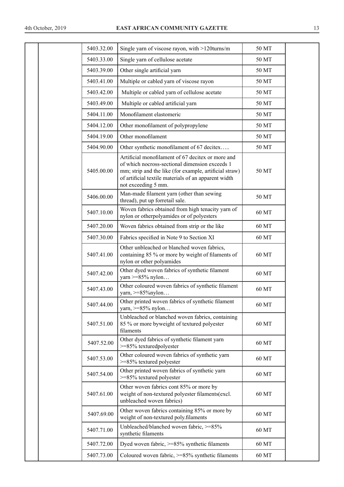| 5403.32.00 | Single yarn of viscose rayon, with >120turns/m                                                                                                                                                                                               | 50 MT |  |
|------------|----------------------------------------------------------------------------------------------------------------------------------------------------------------------------------------------------------------------------------------------|-------|--|
| 5403.33.00 | Single yarn of cellulose acetate                                                                                                                                                                                                             | 50 MT |  |
| 5403.39.00 | Other single artificial yarn                                                                                                                                                                                                                 | 50 MT |  |
| 5403.41.00 | Multiple or cabled yarn of viscose rayon                                                                                                                                                                                                     | 50 MT |  |
| 5403.42.00 | Multiple or cabled yarn of cellulose acetate                                                                                                                                                                                                 | 50 MT |  |
| 5403.49.00 | Multiple or cabled artificial yarn                                                                                                                                                                                                           | 50 MT |  |
| 5404.11.00 | Monofilament elastomeric                                                                                                                                                                                                                     | 50 MT |  |
| 5404.12.00 | Other monofilament of polypropylene                                                                                                                                                                                                          | 50 MT |  |
| 5404.19.00 | Other monofilament                                                                                                                                                                                                                           | 50 MT |  |
| 5404.90.00 | Other synthetic monofilament of 67 decitex                                                                                                                                                                                                   | 50 MT |  |
| 5405.00.00 | Artificial monofilament of 67 decitex or more and<br>of which nocross-sectional dimension exceeds 1<br>mm; strip and the like (for example, artificial straw)<br>of artificial textile materials of an apparent width<br>not exceeding 5 mm. | 50 MT |  |
| 5406.00.00 | Man-made filament yarn (other than sewing<br>thread), put up forretail sale.                                                                                                                                                                 | 50 MT |  |
| 5407.10.00 | Woven fabrics obtained from high tenacity yarn of<br>nylon or otherpolyamides or of polyesters                                                                                                                                               | 60 MT |  |
| 5407.20.00 | Woven fabrics obtained from strip or the like                                                                                                                                                                                                | 60 MT |  |
| 5407.30.00 | Fabrics specified in Note 9 to Section XI                                                                                                                                                                                                    | 60 MT |  |
| 5407.41.00 | Other unbleached or blanched woven fabrics,<br>containing 85 % or more by weight of filaments of<br>nylon or other polyamides                                                                                                                | 60 MT |  |
| 5407.42.00 | Other dyed woven fabrics of synthetic filament<br>yarn $>= 85\%$ nylon                                                                                                                                                                       | 60 MT |  |
| 5407.43.00 | Other coloured woven fabrics of synthetic filament<br>yarn, >=85%nylon                                                                                                                                                                       | 60 MT |  |
| 5407.44.00 | Other printed woven fabrics of synthetic filament<br>yarn, $>= 85\%$ nylon                                                                                                                                                                   | 60 MT |  |
| 5407.51.00 | Unbleached or blanched woven fabrics, containing<br>85 % or more byweight of textured polyester<br>filaments                                                                                                                                 | 60 MT |  |
| 5407.52.00 | Other dyed fabrics of synthetic filament yarn<br>>=85% texturedpolyester                                                                                                                                                                     | 60 MT |  |
| 5407.53.00 | Other coloured woven fabrics of synthetic yarn<br>>=85% textured polyester                                                                                                                                                                   | 60 MT |  |
| 5407.54.00 | Other printed woven fabrics of synthetic yarn<br>>=85% textured polyester                                                                                                                                                                    | 60 MT |  |
| 5407.61.00 | Other woven fabrics cont 85% or more by<br>weight of non-textured polyester filaments(excl.<br>unbleached woven fabrics)                                                                                                                     | 60 MT |  |
| 5407.69.00 | Other woven fabrics containing 85% or more by<br>weight of non-textured poly.filaments                                                                                                                                                       | 60 MT |  |
| 5407.71.00 | Unbleached/blanched woven fabric, >=85%<br>synthetic filaments                                                                                                                                                                               | 60 MT |  |
| 5407.72.00 | Dyed woven fabric, $>= 85\%$ synthetic filaments                                                                                                                                                                                             | 60 MT |  |
| 5407.73.00 | Coloured woven fabric, $>= 85\%$ synthetic filaments                                                                                                                                                                                         | 60 MT |  |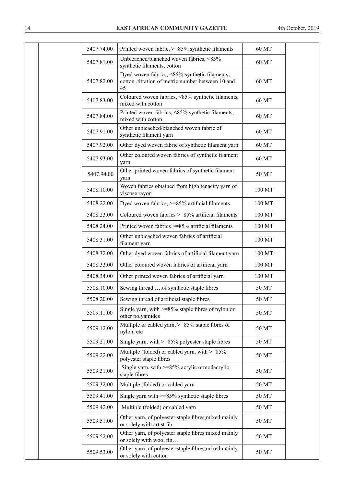| 5407.74.00 | Printed woven fabric, >=85% synthetic filaments                                                          | 60 MT  |
|------------|----------------------------------------------------------------------------------------------------------|--------|
| 5407.81.00 | Unbleached/blanched woven fabrics, <85%<br>synthetic filaments, cotton                                   | 60 MT  |
| 5407.82.00 | Dyed woven fabrics, <85% synthetic filaments,<br>cotton ,titration of metric number between 10 and<br>45 | 60 MT  |
| 5407.83.00 | Coloured woven fabrics, <85% synthetic filaments,<br>mixed with cotton                                   | 60 MT  |
| 5407.84.00 | Printed woven fabrics, <85% synthetic filaments,<br>mixed with cotton                                    | 60 MT  |
| 5407.91.00 | Other unbleached/blanched woven fabric of<br>synthetic filament yarn                                     | 60 MT  |
| 5407.92.00 | Other dyed woven fabric of synthetic filament yarn                                                       | 60 MT  |
| 5407.93.00 | Other coloured woven fabrics of synthetic filament<br>yarn                                               | 60 MT  |
| 5407.94.00 | Other printed woven fabrics of synthetic filament<br>yarn                                                | 50 MT  |
| 5408.10.00 | Woven fabrics obtained from high tenacity yarn of<br>viscose rayon                                       | 100 MT |
| 5408.22.00 | Dyed woven fabrics, >=85% artificial filaments                                                           | 100 MT |
| 5408.23.00 | Coloured woven fabrics $>= 85\%$ artificial filaments                                                    | 100 MT |
| 5408.24.00 | Printed woven fabrics >=85% artificial filaments                                                         | 100 MT |
| 5408.31.00 | Other unbleached woven fabrics of artificial<br>filament yarn                                            | 100 MT |
| 5408.32.00 | Other dyed woven fabrics of artificial filament yarn                                                     | 100 MT |
| 5408.33.00 | Other coloured woven fabrics of artificial yarn                                                          | 100 MT |
| 5408.34.00 | Other printed woven fabrics of artificial yarn                                                           | 100 MT |
| 5508.10.00 | Sewing thread of synthetic staple fibres                                                                 | 50 MT  |
| 5508.20.00 | Sewing thread of artificial staple fibres                                                                | 50 MT  |
| 5509.11.00 | Single yarn, with $>= 85\%$ staple fibres of nylon or<br>other polyamides                                | 50 MT  |
| 5509.12.00 | Multiple or cabled yarn, >=85% staple fibres of<br>nylon, etc                                            | 50 MT  |
| 5509.21.00 | Single yarn, with $>= 85\%$ polyester staple fibres                                                      | 50 MT  |
| 5509.22.00 | Multiple (folded) or cabled yarn, with $>= 85\%$<br>polyester staple fibres                              | 50 MT  |
| 5509.31.00 | Single yarn, with >=85% acrylic ormodacrylic<br>staple fibres                                            | 50 MT  |
| 5509.32.00 | Multiple (folded) or cabled yarn                                                                         | 50 MT  |
| 5509.41.00 | Single yarn with $>= 85\%$ synthetic staple fibres                                                       | 50 MT  |
| 5509.42.00 | Multiple (folded) or cabled yarn                                                                         | 50 MT  |
| 5509.51.00 | Other yarn, of polyester staple fibres, mixed mainly<br>or solely with art.st.fib.                       | 50 MT  |
| 5509.52.00 | Other yarn, of polyester staple fibres mixed mainly<br>or solely with wool fin                           | 50 MT  |
| 5509.53.00 | Other yarn, of polyester staple fibres, mixed mainly<br>or solely with cotton                            | 50 MT  |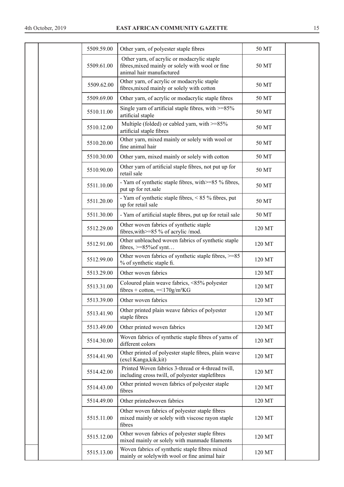|  | 5509.59.00 | Other yarn, of polyester staple fibres                                                                                      | 50 MT  |  |
|--|------------|-----------------------------------------------------------------------------------------------------------------------------|--------|--|
|  | 5509.61.00 | Other yarn, of acrylic or modacrylic staple<br>fibres, mixed mainly or solely with wool or fine<br>animal hair manufactured | 50 MT  |  |
|  | 5509.62.00 | Other yarn, of acrylic or modacrylic staple<br>fibres, mixed mainly or solely with cotton                                   | 50 MT  |  |
|  | 5509.69.00 | Other yarn, of acrylic or modacrylic staple fibres                                                                          | 50 MT  |  |
|  | 5510.11.00 | Single yarn of artificial staple fibres, with $>=85\%$<br>artificial staple                                                 | 50 MT  |  |
|  | 5510.12.00 | Multiple (folded) or cabled yarn, with $>=85\%$<br>artificial staple fibres                                                 | 50 MT  |  |
|  | 5510.20.00 | Other yarn, mixed mainly or solely with wool or<br>fine animal hair                                                         | 50 MT  |  |
|  | 5510.30.00 | Other yarn, mixed mainly or solely with cotton                                                                              | 50 MT  |  |
|  | 5510.90.00 | Other yarn of artificial staple fibres, not put up for<br>retail sale                                                       | 50 MT  |  |
|  | 5511.10.00 | - Yarn of synthetic staple fibres, with >=85 % fibres,<br>put up for ret.sale                                               | 50 MT  |  |
|  | 5511.20.00 | - Yarn of synthetic staple fibres, < 85 % fibres, put<br>up for retail sale                                                 | 50 MT  |  |
|  | 5511.30.00 | - Yarn of artificial staple fibres, put up for retail sale                                                                  | 50 MT  |  |
|  | 5512.29.00 | Other woven fabrics of synthetic staple<br>fibres, with >=85 % of acrylic /mod.                                             | 120 MT |  |
|  | 5512.91.00 | Other unbleached woven fabrics of synthetic staple<br>fibres, $>=85\%$ of synt                                              | 120 MT |  |
|  | 5512.99.00 | Other woven fabrics of synthetic staple fibres, >=85<br>% of synthetic staple fi.                                           | 120 MT |  |
|  | 5513.29.00 | Other woven fabrics                                                                                                         | 120 MT |  |
|  | 5513.31.00 | Coloured plain weave fabrics, <85% polyester<br>fibres + cotton, $=<170g/m2KG$                                              | 120 MT |  |
|  | 5513.39.00 | Other woven fabrics                                                                                                         | 120 MT |  |
|  | 5513.41.90 | Other printed plain weave fabrics of polyester<br>staple fibres                                                             | 120 MT |  |
|  | 5513.49.00 | Other printed woven fabrics                                                                                                 | 120 MT |  |
|  | 5514.30.00 | Woven fabrics of synthetic staple fibres of yarns of<br>different colors                                                    | 120 MT |  |
|  | 5514.41.90 | Other printed of polyester staple fibres, plain weave<br>(excl Kanga, kik, kit)                                             | 120 MT |  |
|  | 5514.42.00 | Printed Woven fabrics 3-thread or 4-thread twill,<br>including cross twill, of polyester staplefibres                       | 120 MT |  |
|  | 5514.43.00 | Other printed woven fabrics of polyester staple<br>fibres                                                                   | 120 MT |  |
|  | 5514.49.00 | Other printedwoven fabrics                                                                                                  | 120 MT |  |
|  | 5515.11.00 | Other woven fabrics of polyester staple fibres<br>mixed mainly or solely with viscose rayon staple<br>fibres                | 120 MT |  |
|  | 5515.12.00 | Other woven fabrics of polyester staple fibres<br>mixed mainly or solely with manmade filaments                             | 120 MT |  |
|  | 5515.13.00 | Woven fabrics of synthetic staple fibres mixed<br>mainly or solelywith wool or fine animal hair                             | 120 MT |  |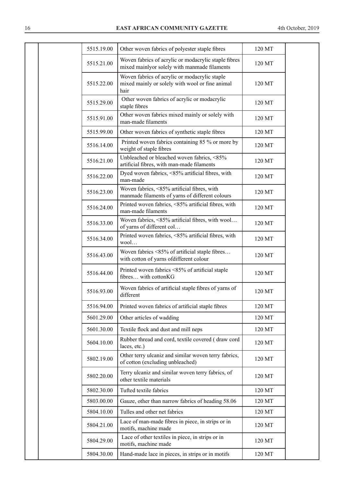| 5515.19.00 | Other woven fabrics of polyester staple fibres                                                           | 120 MT |  |
|------------|----------------------------------------------------------------------------------------------------------|--------|--|
| 5515.21.00 | Woven fabrics of acrylic or modacrylic staple fibres<br>mixed mainlyor solely with manmade filaments     | 120 MT |  |
| 5515.22.00 | Woven fabrics of acrylic or modacrylic staple<br>mixed mainly or solely with wool or fine animal<br>hair | 120 MT |  |
| 5515.29.00 | Other woven fabrics of acrylic or modacrylic<br>staple fibres                                            | 120 MT |  |
| 5515.91.00 | Other woven fabrics mixed mainly or solely with<br>man-made filaments                                    | 120 MT |  |
| 5515.99.00 | Other woven fabrics of synthetic staple fibres                                                           | 120 MT |  |
| 5516.14.00 | Printed woven fabrics containing 85 % or more by<br>weight of staple fibres                              | 120 MT |  |
| 5516.21.00 | Unbleached or bleached woven fabrics, <85%<br>artificial fibres, with man-made filaments                 | 120 MT |  |
| 5516.22.00 | Dyed woven fabrics, <85% artificial fibres, with<br>man-made                                             | 120 MT |  |
| 5516.23.00 | Woven fabrics, <85% artificial fibres, with<br>manmade filaments of yarns of different colours           | 120 MT |  |
| 5516.24.00 | Printed woven fabrics, <85% artificial fibres, with<br>man-made filaments                                | 120 MT |  |
| 5516.33.00 | Woven fabrics, <85% artificial fibres, with wool<br>of yarns of different col                            | 120 MT |  |
| 5516.34.00 | Printed woven fabrics, <85% artificial fibres, with<br>wool                                              | 120 MT |  |
| 5516.43.00 | Woven fabrics <85% of artificial staple fibres<br>with cotton of yarns ofdifferent colour                | 120 MT |  |
| 5516.44.00 | Printed woven fabrics <85% of artificial staple<br>fibres with cottonKG                                  | 120 MT |  |
| 5516.93.00 | Woven fabrics of artificial staple fibres of yarns of<br>different                                       | 120 MT |  |
| 5516.94.00 | Printed woven fabrics of artificial staple fibres                                                        | 120 MT |  |
| 5601.29.00 | Other articles of wadding                                                                                | 120 MT |  |
| 5601.30.00 | Textile flock and dust and mill neps                                                                     | 120 MT |  |
| 5604.10.00 | Rubber thread and cord, textile covered (draw cord<br>laces, etc.)                                       | 120 MT |  |
| 5802.19.00 | Other terry ulcaniz and similar woven terry fabrics,<br>of cotton (excluding unbleached)                 | 120 MT |  |
| 5802.20.00 | Terry ulcaniz and similar woven terry fabrics, of<br>other textile materials                             | 120 MT |  |
| 5802.30.00 | Tufted textile fabrics                                                                                   | 120 MT |  |
| 5803.00.00 | Gauze, other than narrow fabrics of heading 58.06                                                        | 120 MT |  |
| 5804.10.00 | Tulles and other net fabrics                                                                             | 120 MT |  |
| 5804.21.00 | Lace of man-made fibres in piece, in strips or in<br>motifs, machine made                                | 120 MT |  |
| 5804.29.00 | Lace of other textiles in piece, in strips or in<br>motifs, machine made                                 | 120 MT |  |
| 5804.30.00 | Hand-made lace in pieces, in strips or in motifs                                                         | 120 MT |  |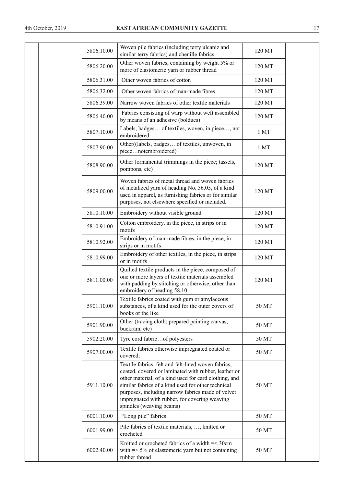| 5806.10.00 | Woven pile fabrics (including terry ulcaniz and<br>similar terry fabrics) and chenille fabrics                                                                                                                                                                                                                                                               | 120 MT |  |
|------------|--------------------------------------------------------------------------------------------------------------------------------------------------------------------------------------------------------------------------------------------------------------------------------------------------------------------------------------------------------------|--------|--|
| 5806.20.00 | Other woven fabrics, containing by weight 5% or<br>more of elastomeric yarn or rubber thread                                                                                                                                                                                                                                                                 | 120 MT |  |
| 5806.31.00 | Other woven fabrics of cotton                                                                                                                                                                                                                                                                                                                                | 120 MT |  |
| 5806.32.00 | Other woven fabrics of man-made fibres                                                                                                                                                                                                                                                                                                                       | 120 MT |  |
| 5806.39.00 | Narrow woven fabrics of other textile materials                                                                                                                                                                                                                                                                                                              | 120 MT |  |
| 5806.40.00 | Fabrics consisting of warp without weft assembled<br>by means of an adhesive (bolducs)                                                                                                                                                                                                                                                                       | 120 MT |  |
| 5807.10.00 | Labels, badges of textiles, woven, in piece, not<br>embroidered                                                                                                                                                                                                                                                                                              | 1 MT   |  |
| 5807.90.00 | Other((labels, badges of textiles, unwoven, in<br>piecenotembroidered)                                                                                                                                                                                                                                                                                       | 1 MT   |  |
| 5808.90.00 | Other (ornamental trimmings in the piece; tassels,<br>pompons, etc)                                                                                                                                                                                                                                                                                          | 120 MT |  |
| 5809.00.00 | Woven fabrics of metal thread and woven fabrics<br>of metalized yarn of heading No. 56.05, of a kind<br>used in apparel, as furnishing fabrics or for similar<br>purposes, not elsewhere specified or included.                                                                                                                                              | 120 MT |  |
| 5810.10.00 | Embroidery without visible ground                                                                                                                                                                                                                                                                                                                            | 120 MT |  |
| 5810.91.00 | Cotton embroidery, in the piece, in strips or in<br>motifs                                                                                                                                                                                                                                                                                                   | 120 MT |  |
| 5810.92.00 | Embroidery of man-made fibres, in the piece, in<br>strips or in motifs                                                                                                                                                                                                                                                                                       | 120 MT |  |
| 5810.99.00 | Embroidery of other textiles, in the piece, in strips<br>or in motifs                                                                                                                                                                                                                                                                                        | 120 MT |  |
| 5811.00.00 | Quilted textile products in the piece, composed of<br>one or more layers of textile materials assembled<br>with padding by stitching or otherwise, other than<br>embroidery of heading 58.10                                                                                                                                                                 | 120 MT |  |
| 5901.10.00 | Textile fabrics coated with gum or amylaceous<br>substances, of a kind used for the outer covers of<br>books or the like                                                                                                                                                                                                                                     | 50 MT  |  |
| 5901.90.00 | Other (tracing cloth; prepared painting canvas;<br>buckram, etc)                                                                                                                                                                                                                                                                                             | 50 MT  |  |
| 5902.20.00 | Tyre cord fabricof polyesters                                                                                                                                                                                                                                                                                                                                | 50 MT  |  |
| 5907.00.00 | Textile fabrics otherwise impregnated coated or<br>covered;                                                                                                                                                                                                                                                                                                  | 50 MT  |  |
| 5911.10.00 | Textile fabrics, felt and felt-lined woven fabrics,<br>coated, covered or laminated with rubber, leather or<br>other material, of a kind used for card clothing, and<br>similar fabrics of a kind used for other technical<br>purposes, including narrow fabrics made of velvet<br>impregnated with rubber, for covering weaving<br>spindles (weaving beams) | 50 MT  |  |
| 6001.10.00 | "Long pile" fabrics                                                                                                                                                                                                                                                                                                                                          | 50 MT  |  |
| 6001.99.00 | Pile fabrics of textile materials, , knitted or<br>crocheted                                                                                                                                                                                                                                                                                                 | 50 MT  |  |
| 6002.40.00 | Knitted or crocheted fabrics of a width =< 30cm<br>with $\Rightarrow$ 5% of elastomeric yarn but not containing<br>rubber thread                                                                                                                                                                                                                             | 50 MT  |  |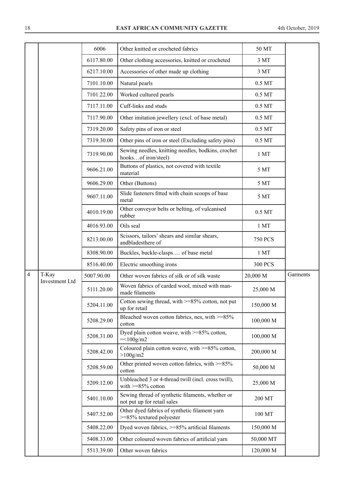|                |                         | 6006       | Other knitted or crocheted fabrics                                              | 50 MT              |          |
|----------------|-------------------------|------------|---------------------------------------------------------------------------------|--------------------|----------|
|                |                         | 6117.80.00 | Other clothing accessories, knitted or crocheted                                | 3 MT               |          |
|                |                         | 6217.10.00 | Accessories of other made up clothing                                           | 3 MT               |          |
|                |                         | 7101.10.00 | Natural pearls                                                                  | $0.5\ \mathrm{MT}$ |          |
|                |                         | 7101.22.00 | Worked cultured pearls                                                          | $0.5\,\mathrm{MT}$ |          |
|                |                         | 7117.11.00 | Cuff-links and studs                                                            | $0.5\ \mathrm{MT}$ |          |
|                |                         | 7117.90.00 | Other imitation jewellery (excl. of base metal)                                 | $0.5\,\mathrm{MT}$ |          |
|                |                         | 7319.20.00 | Safety pins of iron or steel                                                    | $0.5\,\mathrm{MT}$ |          |
|                |                         | 7319.30.00 | Other pins of iron or steel (Excluding safety pins)                             | $0.5\ \mathrm{MT}$ |          |
|                |                         | 7319.90.00 | Sewing needles, knitting needles, bodkins, crochet<br>hooksof iron/steel)       | 1 MT               |          |
|                |                         | 9606.21.00 | Buttons of plastics, not covered with textile<br>material                       | 5 MT               |          |
|                |                         | 9606.29.00 | Other (Buttons)                                                                 | 5 MT               |          |
|                |                         | 9607.11.00 | Slide fasteners fitted with chain scoops of base<br>metal                       | 5 MT               |          |
|                |                         | 4010.19.00 | Other conveyor belts or belting, of vulcanised<br>rubber                        | $0.5\,\mathrm{MT}$ |          |
|                |                         | 4016.93.00 | Oils seal                                                                       | 1 MT               |          |
|                |                         | 8213.00.00 | Scissors, tailors' shears and similar shears,<br>andbladesthere of              | <b>750 PCS</b>     |          |
|                |                         | 8308.90.00 | Buckles, buckle-clasps of base metal                                            | 1 MT               |          |
|                |                         | 8516.40.00 | Electric smoothing irons                                                        | <b>300 PCS</b>     |          |
| $\overline{4}$ | T-Kay<br>Investment Ltd | 5007.90.00 | Other woven fabrics of silk or of silk waste                                    | 20,000 M           | Garments |
|                |                         | 5111.20.00 | Woven fabrics of carded wool, mixed with man-<br>made filaments                 | 25,000 M           |          |
|                |                         | 5204.11.00 | Cotton sewing thread, with $>=85\%$ cotton, not put<br>up for retail            | 150,000 M          |          |
|                |                         | 5208.29.00 | Bleached woven cotton fabrics, nes, with $>=85\%$<br>cotton                     | 100,000 M          |          |
|                |                         | 5208.31.00 | Dyed plain cotton weave, with $>=85\%$ cotton,<br>$=<100g/m2$                   | 100,000 M          |          |
|                |                         | 5208.42.00 | Coloured plain cotton weave, with >=85% cotton,<br>$>100$ g/m2                  | 200,000 M          |          |
|                |                         | 5208.59.00 | Other printed woven cotton fabrics, with >=85%<br>cotton                        | 50,000 M           |          |
|                |                         | 5209.12.00 | Unbleached 3 or 4-thread twill (incl. cross twill),<br>with $>= 85\%$ cotton    | 25,000 M           |          |
|                |                         | 5401.10.00 | Sewing thread of synthetic filaments, whether or<br>not put up for retail sales | 200 MT             |          |
|                |                         | 5407.52.00 | Other dyed fabrics of synthetic filament yarn<br>>=85% textured polyester       | 100 MT             |          |
|                |                         | 5408.22.00 | Dyed woven fabrics, >=85% artificial filaments                                  | 150,000 M          |          |
|                |                         | 5408.33.00 | Other coloured woven fabrics of artificial yarn                                 | 50,000 MT          |          |
|                |                         | 5513.39.00 | Other woven fabrics                                                             | 120,000 M          |          |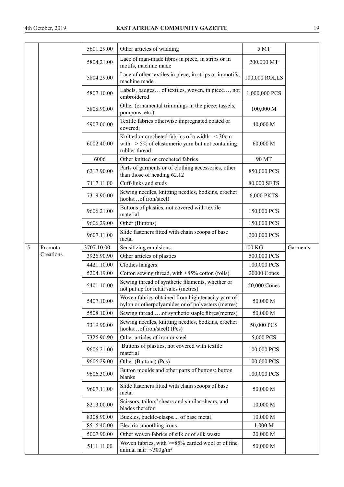|   |           | 5601.29.00 | Other articles of wadding                                                                                                         | 5 MT          |          |
|---|-----------|------------|-----------------------------------------------------------------------------------------------------------------------------------|---------------|----------|
|   |           | 5804.21.00 | Lace of man-made fibres in piece, in strips or in<br>motifs, machine made                                                         | 200,000 MT    |          |
|   |           | 5804.29.00 | Lace of other textiles in piece, in strips or in motifs,<br>machine made                                                          | 100,000 ROLLS |          |
|   |           | 5807.10.00 | Labels, badges of textiles, woven, in piece, not<br>embroidered                                                                   | 1,000,000 PCS |          |
|   |           | 5808.90.00 | Other (ornamental trimmings in the piece; tassels,<br>pompons, etc.)                                                              | 100,000 M     |          |
|   |           | 5907.00.00 | Textile fabrics otherwise impregnated coated or<br>covered;                                                                       | 40,000 M      |          |
|   |           | 6002.40.00 | Knitted or crocheted fabrics of a width = < 30cm<br>with $\Rightarrow$ 5% of elastomeric yarn but not containing<br>rubber thread | 60,000 M      |          |
|   |           | 6006       | Other knitted or crocheted fabrics                                                                                                | 90 MT         |          |
|   |           | 6217.90.00 | Parts of garments or of clothing accessories, other<br>than those of heading 62.12                                                | 850,000 PCS   |          |
|   |           | 7117.11.00 | Cuff-links and studs                                                                                                              | 80,000 SETS   |          |
|   |           | 7319.90.00 | Sewing needles, knitting needles, bodkins, crochet<br>hooksof iron/steel)                                                         | 6,000 PKTS    |          |
|   |           | 9606.21.00 | Buttons of plastics, not covered with textile<br>material                                                                         | 150,000 PCS   |          |
|   |           | 9606.29.00 | Other (Buttons)                                                                                                                   | 150,000 PCS   |          |
|   |           | 9607.11.00 | Slide fasteners fitted with chain scoops of base<br>metal                                                                         | 200,000 PCS   |          |
| 5 | Promota   | 3707.10.00 | Sensitizing emulsions.                                                                                                            | 100 KG        | Garments |
|   | Creations | 3926.90.90 | Other articles of plastics                                                                                                        | 500,000 PCS   |          |
|   |           | 4421.10.00 | Clothes hangers                                                                                                                   | 100,000 PCS   |          |
|   |           | 5204.19.00 | Cotton sewing thread, with <85% cotton (rolls)                                                                                    | 20000 Cones   |          |
|   |           | 5401.10.00 | Sewing thread of synthetic filaments, whether or<br>not put up for retail sales (metres)                                          | 50,000 Cones  |          |
|   |           | 5407.10.00 | Woven fabrics obtained from high tenacity yarn of<br>nylon or otherpolyamides or of polyesters (metres)                           | 50,000 M      |          |
|   |           | 5508.10.00 | Sewing thread of synthetic staple fibres(metres)                                                                                  | 50,000 M      |          |
|   |           | 7319.90.00 | Sewing needles, knitting needles, bodkins, crochet<br>hooksof iron/steel) (Pcs)                                                   | 50,000 PCS    |          |
|   |           | 7326.90.90 | Other articles of iron or steel                                                                                                   | 5,000 PCS     |          |
|   |           | 9606.21.00 | Buttons of plastics, not covered with textile<br>material                                                                         | 100,000 PCS   |          |
|   |           | 9606.29.00 | Other (Buttons) (Pcs)                                                                                                             | 100,000 PCS   |          |
|   |           | 9606.30.00 | Button moulds and other parts of buttons; button<br>blanks                                                                        | 100,000 PCS   |          |
|   |           | 9607.11.00 | Slide fasteners fitted with chain scoops of base<br>metal                                                                         | 50,000 M      |          |
|   |           | 8213.00.00 | Scissors, tailors' shears and similar shears, and<br>blades therefor                                                              | 10,000 M      |          |
|   |           | 8308.90.00 | Buckles, buckle-clasps of base metal                                                                                              | 10,000 M      |          |
|   |           | 8516.40.00 | Electric smoothing irons                                                                                                          | 1,000 M       |          |
|   |           | 5007.90.00 | Other woven fabrics of silk or of silk waste                                                                                      | 20,000 M      |          |
|   |           | 5111.11.00 | Woven fabrics, with >=85% carded wool or of fine<br>animal hair=<300g/m <sup>2</sup>                                              | 50,000 M      |          |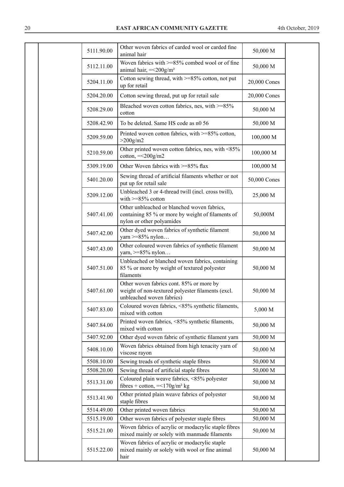| 5111.90.00 | Other woven fabrics of carded wool or carded fine<br>animal hair                                                              | 50,000 M     |  |
|------------|-------------------------------------------------------------------------------------------------------------------------------|--------------|--|
| 5112.11.00 | Woven fabrics with >=85% combed wool or of fine<br>animal hair, $=<200g/m2$                                                   | 50,000 M     |  |
| 5204.11.00 | Cotton sewing thread, with >=85% cotton, not put<br>up for retail                                                             | 20,000 Cones |  |
| 5204.20.00 | Cotton sewing thread, put up for retail sale                                                                                  | 20,000 Cones |  |
| 5208.29.00 | Bleached woven cotton fabrics, nes, with >=85%<br>cotton                                                                      | 50,000 M     |  |
| 5208.42.90 | To be deleted. Same HS code as n0 56                                                                                          | 50,000 M     |  |
| 5209.59.00 | Printed woven cotton fabrics, with >=85% cotton,<br>$>200$ g/m <sup>2</sup>                                                   | 100,000 M    |  |
| 5210.59.00 | Other printed woven cotton fabrics, nes, with <85%<br>cotton, $=<200g/m2$                                                     | 100,000 M    |  |
| 5309.19.00 | Other Woven fabrics with >=85% flax                                                                                           | 100,000 M    |  |
| 5401.20.00 | Sewing thread of artificial filaments whether or not<br>put up for retail sale                                                | 50,000 Cones |  |
| 5209.12.00 | Unbleached 3 or 4-thread twill (incl. cross twill),<br>with $>= 85\%$ cotton                                                  | 25,000 M     |  |
| 5407.41.00 | Other unbleached or blanched woven fabrics,<br>containing 85 % or more by weight of filaments of<br>nylon or other polyamides | 50,000M      |  |
| 5407.42.00 | Other dyed woven fabrics of synthetic filament<br>yarn $>= 85\%$ nylon                                                        | 50,000 M     |  |
| 5407.43.00 | Other coloured woven fabrics of synthetic filament<br>yarn, $>= 85\%$ nylon                                                   | 50,000 M     |  |
| 5407.51.00 | Unbleached or blanched woven fabrics, containing<br>85 % or more by weight of textured polyester<br>filaments                 | 50,000 M     |  |
| 5407.61.00 | Other woven fabrics cont. 85% or more by<br>weight of non-textured polyester filaments (excl.<br>unbleached woven fabrics)    | 50,000 M     |  |
| 5407.83.00 | Coloured woven fabrics, <85% synthetic filaments,<br>mixed with cotton                                                        | 5,000 M      |  |
| 5407.84.00 | Printed woven fabrics, <85% synthetic filaments,<br>mixed with cotton                                                         | 50,000 M     |  |
| 5407.92.00 | Other dyed woven fabric of synthetic filament yarn                                                                            | 50,000 M     |  |
| 5408.10.00 | Woven fabrics obtained from high tenacity yarn of<br>viscose rayon                                                            | 50,000 M     |  |
| 5508.10.00 | Sewing treads of synthetic staple fibres                                                                                      | 50,000 M     |  |
| 5508.20.00 | Sewing thread of artificial staple fibres                                                                                     | 50,000 M     |  |
| 5513.31.00 | Coloured plain weave fabrics, <85% polyester<br>fibres + cotton, $=<170g/m2 kg$                                               | 50,000 M     |  |
| 5513.41.90 | Other printed plain weave fabrics of polyester<br>staple fibres                                                               | 50,000 M     |  |
| 5514.49.00 | Other printed woven fabrics                                                                                                   | 50,000 M     |  |
| 5515.19.00 | Other woven fabrics of polyester staple fibres                                                                                | 50,000 M     |  |
| 5515.21.00 | Woven fabrics of acrylic or modacrylic staple fibres<br>mixed mainly or solely with manmade filaments                         | 50,000 M     |  |
| 5515.22.00 | Woven fabrics of acrylic or modacrylic staple<br>mixed mainly or solely with wool or fine animal<br>hair                      | 50,000 M     |  |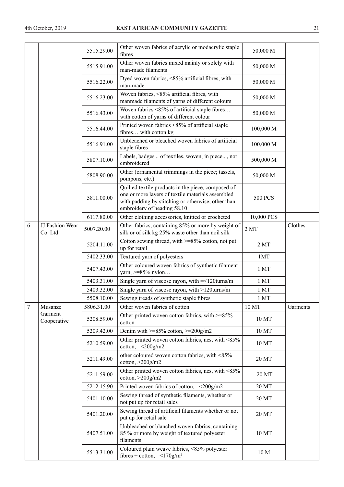|                |                            | 5515.29.00 | Other woven fabrics of acrylic or modacrylic staple<br>fibres                                                                                                                                | 50,000 M        |          |
|----------------|----------------------------|------------|----------------------------------------------------------------------------------------------------------------------------------------------------------------------------------------------|-----------------|----------|
|                |                            | 5515.91.00 | Other woven fabrics mixed mainly or solely with<br>man-made filaments                                                                                                                        | 50,000 M        |          |
|                |                            | 5516.22.00 | Dyed woven fabrics, <85% artificial fibres, with<br>man-made                                                                                                                                 | 50,000 M        |          |
|                |                            | 5516.23.00 | Woven fabrics, <85% artificial fibres, with<br>manmade filaments of yarns of different colours                                                                                               | 50,000 M        |          |
|                |                            | 5516.43.00 | Woven fabrics <85% of artificial staple fibres<br>with cotton of yarns of different colour                                                                                                   | 50,000 M        |          |
|                |                            | 5516.44.00 | Printed woven fabrics <85% of artificial staple<br>fibres with cotton kg                                                                                                                     | 100,000 M       |          |
|                |                            | 5516.91.00 | Unbleached or bleached woven fabrics of artificial<br>staple fibres                                                                                                                          | 100,000 M       |          |
|                |                            | 5807.10.00 | Labels, badges of textiles, woven, in piece, not<br>embroidered                                                                                                                              | 500,000 M       |          |
|                |                            | 5808.90.00 | Other (ornamental trimmings in the piece; tassels,<br>pompons, etc.)                                                                                                                         | 50,000 M        |          |
|                |                            | 5811.00.00 | Quilted textile products in the piece, composed of<br>one or more layers of textile materials assembled<br>with padding by stitching or otherwise, other than<br>embroidery of heading 58.10 | <b>500 PCS</b>  |          |
|                |                            | 6117.80.00 | Other clothing accessories, knitted or crocheted                                                                                                                                             | 10,000 PCS      |          |
| 6              | JJ Fashion Wear<br>Co. Ltd | 5007.20.00 | Other fabrics, containing 85% or more by weight of<br>silk or of silk kg 25% waste other than noil silk                                                                                      | 2MT             | Clothes  |
|                |                            | 5204.11.00 | Cotton sewing thread, with $>=85\%$ cotton, not put<br>up for retail                                                                                                                         | 2MT             |          |
|                |                            | 5402.33.00 | Textured yarn of polyesters                                                                                                                                                                  | 1MT             |          |
|                |                            | 5407.43.00 | Other coloured woven fabrics of synthetic filament<br>yarn, >=85% nylon                                                                                                                      | 1 MT            |          |
|                |                            | 5403.31.00 | Single yarn of viscose rayon, with $=$ <120 turns/m                                                                                                                                          | 1 MT            |          |
|                |                            | 5403.32.00 | Single yarn of viscose rayon, with >120turns/m                                                                                                                                               | $1~\mathrm{MT}$ |          |
|                |                            | 5508.10.00 | Sewing treads of synthetic staple fibres                                                                                                                                                     | 1 MT            |          |
| $\overline{7}$ | Musanze                    | 5806.31.00 | Other woven fabrics of cotton                                                                                                                                                                | 10 MT           | Garments |
|                | Garment<br>Cooperative     | 5208.59.00 | Other printed woven cotton fabrics, with >=85%<br>cotton                                                                                                                                     | 10 MT           |          |
|                |                            | 5209.42.00 | Denim with $>=85\%$ cotton, $>=200$ g/m2                                                                                                                                                     | 10 MT           |          |
|                |                            | 5210.59.00 | Other printed woven cotton fabrics, nes, with <85%<br>$\cot$ <sub>ton,</sub> = <200 $\frac{g}{m}$ 2                                                                                          | 10 MT           |          |
|                |                            | 5211.49.00 | other coloured woven cotton fabrics, with <85%<br>cotton, $>200$ g/m2                                                                                                                        | 20 MT           |          |
|                |                            | 5211.59.00 | Other printed woven cotton fabrics, nes, with <85%<br>$\cot$ ton, $>$ 200 $\frac{g}{m}$ 2                                                                                                    | 20 MT           |          |
|                |                            | 5212.15.90 | Printed woven fabrics of cotton, = < 200g/m2                                                                                                                                                 | 20 MT           |          |
|                |                            | 5401.10.00 | Sewing thread of synthetic filaments, whether or<br>not put up for retail sales                                                                                                              | 20 MT           |          |
|                |                            | 5401.20.00 | Sewing thread of artificial filaments whether or not<br>put up for retail sale                                                                                                               | 20 MT           |          |
|                |                            | 5407.51.00 | Unbleached or blanched woven fabrics, containing<br>85 % or more by weight of textured polyester<br>filaments                                                                                | 10 MT           |          |
|                |                            | 5513.31.00 | Coloured plain weave fabrics, <85% polyester<br>fibres + cotton, $=<170g/m2$                                                                                                                 | 10 <sub>M</sub> |          |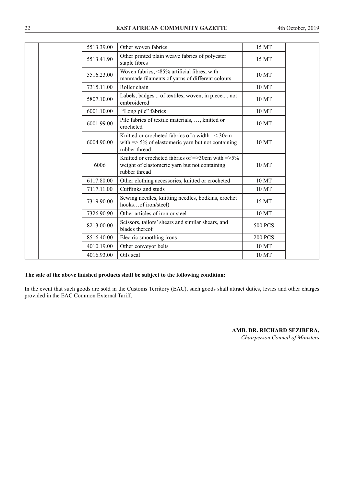| 5513.39.00 | Other woven fabrics                                                                                                               | 15 MT          |
|------------|-----------------------------------------------------------------------------------------------------------------------------------|----------------|
| 5513.41.90 | Other printed plain weave fabrics of polyester<br>staple fibres                                                                   | 15 MT          |
| 5516.23.00 | Woven fabrics, <85% artificial fibres, with<br>manmade filaments of yarns of different colours                                    | 10 MT          |
| 7315.11.00 | Roller chain                                                                                                                      | 10 MT          |
| 5807.10.00 | Labels, badges of textiles, woven, in piece, not<br>embroidered                                                                   | 10 MT          |
| 6001.10.00 | "Long pile" fabrics                                                                                                               | 10 MT          |
| 6001.99.00 | Pile fabrics of textile materials, , knitted or<br>crocheted                                                                      | 10 MT          |
| 6004.90.00 | Knitted or crocheted fabrics of a width = < 30cm<br>with $\Rightarrow$ 5% of elastomeric yarn but not containing<br>rubber thread | 10 MT          |
| 6006       | Knitted or crocheted fabrics of $=$ >30cm with $=$ >5%<br>weight of elastomeric yarn but not containing<br>rubber thread          | 10 MT          |
| 6117.80.00 | Other clothing accessories, knitted or crocheted                                                                                  | 10 MT          |
| 7117.11.00 | Cufflinks and studs                                                                                                               | 10 MT          |
| 7319.90.00 | Sewing needles, knitting needles, bodkins, crochet<br>hooksof iron/steel)                                                         | 15 MT          |
| 7326.90.90 | Other articles of iron or steel                                                                                                   | 10 MT          |
| 8213.00.00 | Scissors, tailors' shears and similar shears, and<br>blades thereof                                                               | <b>500 PCS</b> |
| 8516.40.00 | Electric smoothing irons                                                                                                          | <b>200 PCS</b> |
| 4010.19.00 | Other conveyor belts                                                                                                              | 10 MT          |
| 4016.93.00 | Oils seal                                                                                                                         | 10 MT          |

### **The sale of the above finished products shall be subject to the following condition:**

In the event that such goods are sold in the Customs Territory (EAC), such goods shall attract duties, levies and other charges provided in the EAC Common External Tariff.

> **AMB. DR. RICHARD SEZIBERA,**  *Chairperson Council of Ministers*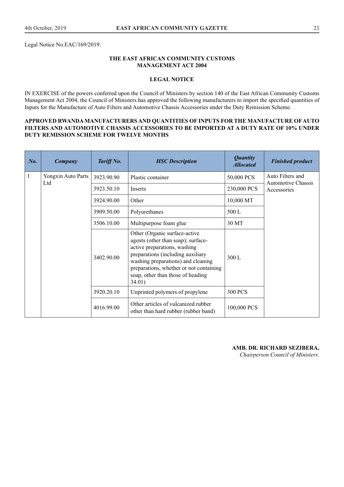Legal Notice No.EAC/169/2019.

## **THE EAST AFRICAN COMMUNITY CUSTOMS MANAGEMENT ACT 2004**

## **LEGAL NOTICE**

IN EXERCISE of the powers conferred upon the Council of Ministers by section 140 of the East African Community Customs Management Act 2004, the Council of Ministers has approved the following manufacturers to import the specified quantities of Inputs for the Manufacture of Auto Filters and Automotive Chassis Accessories under the Duty Remission Scheme.

## **APPROVED RWANDA MANUFACTURERS AND QUANTITIES OF INPUTS FOR THE MANUFACTURE OF AUTO FILTERS AND AUTOMOTIVE CHASSIS ACCESSORIES TO BE IMPORTED AT A DUTY RATE OF 10% UNDER DUTY REMISSION SCHEME FOR TWELVE MONTHS**

| No.          | Company            | Tariff No.                                         | <b>HSC</b> Description                                                                                                                                                                                                                                                   | <b>Quantity</b><br><b>Allocated</b> | <b>Finished product</b>                       |
|--------------|--------------------|----------------------------------------------------|--------------------------------------------------------------------------------------------------------------------------------------------------------------------------------------------------------------------------------------------------------------------------|-------------------------------------|-----------------------------------------------|
| $\mathbf{1}$ | Yongxin Auto Parts | 3923.90.90                                         | Plastic container                                                                                                                                                                                                                                                        | 50,000 PCS                          | Auto Filters and<br><b>Automotive Chassis</b> |
|              | Ltd                | 3923.50.10                                         | Inserts                                                                                                                                                                                                                                                                  | 230,000 PCS                         | Accessories                                   |
|              |                    | 3924.90.00<br>Other<br>3909.50.00<br>Polyurethanes |                                                                                                                                                                                                                                                                          | 10,000 MT                           |                                               |
|              |                    |                                                    | 500 L                                                                                                                                                                                                                                                                    |                                     |                                               |
|              |                    | 3506.10.00                                         | Multipurpose foam glue                                                                                                                                                                                                                                                   | 30 MT                               |                                               |
|              |                    | 3402.90.00                                         | Other (Organic surface-active<br>agents (other than soap); surface-<br>active preparations, washing<br>preparations (including auxiliary<br>washing preparations) and cleaning<br>preparations, whether or not containing<br>soap, other than those of heading<br>34.01) | 300 L                               |                                               |
|              |                    | 3920.20.10                                         | Unprinted polymers of propylene                                                                                                                                                                                                                                          | <b>300 PCS</b>                      |                                               |
|              |                    | 4016.99.00                                         | Other articles of vulcanized rubber<br>other than hard rubber (rubber band)                                                                                                                                                                                              | 100,000 PCS                         |                                               |

#### **AMB. DR. RICHARD SEZIBERA,**

*Chairperson Council of Ministers.*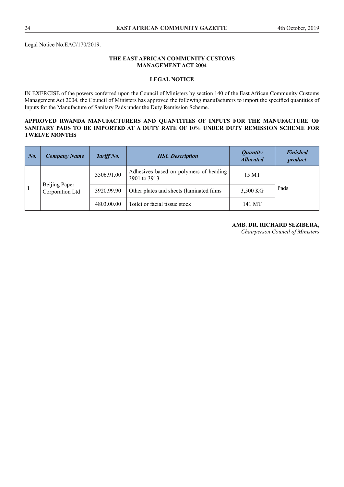Legal Notice No.EAC/170/2019.

## **THE EAST AFRICAN COMMUNITY CUSTOMS MANAGEMENT ACT 2004**

## **LEGAL NOTICE**

IN EXERCISE of the powers conferred upon the Council of Ministers by section 140 of the East African Community Customs Management Act 2004, the Council of Ministers has approved the following manufacturers to import the specified quantities of Inputs for the Manufacture of Sanitary Pads under the Duty Remission Scheme.

## **APPROVED RWANDA MANUFACTURERS AND QUANTITIES OF INPUTS FOR THE MANUFACTURE OF SANITARY PADS TO BE IMPORTED AT A DUTY RATE OF 10% UNDER DUTY REMISSION SCHEME FOR TWELVE MONTHS**

| $\mid$ No. | <b>Company Name</b>              | Tariff No. | <b>HSC</b> Description                                 | <i><b>Quantity</b></i><br><b>Allocated</b> | <b>Finished</b><br>product |
|------------|----------------------------------|------------|--------------------------------------------------------|--------------------------------------------|----------------------------|
|            |                                  | 3506.91.00 | Adhesives based on polymers of heading<br>3901 to 3913 | 15 MT                                      |                            |
|            | Beijing Paper<br>Corporation Ltd | 3920.99.90 | Other plates and sheets (laminated films)              | 3,500 KG                                   | Pads                       |
|            |                                  | 4803.00.00 | Toilet or facial tissue stock                          | 141 MT                                     |                            |

## **AMB. DR. RICHARD SEZIBERA,**

*Chairperson Council of Ministers*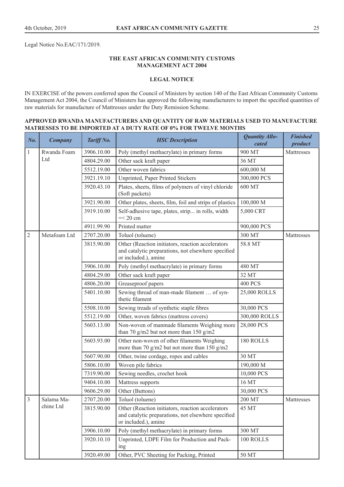Legal Notice No.EAC/171/2019.

## **THE EAST AFRICAN COMMUNITY CUSTOMS MANAGEMENT ACT 2004**

## **LEGAL NOTICE**

IN EXERCISE of the powers conferred upon the Council of Ministers by section 140 of the East African Community Customs Management Act 2004, the Council of Ministers has approved the following manufacturers to import the specified quantities of raw materials for manufacture of Mattresses under the Duty Remission Scheme.

## **APPROVED RWANDA MANUFACTURERS AND QUANTITY OF RAW MATERIALS USED TO MANUFACTURE MATRESSES TO BE IMPORTED AT A DUTY RATE OF 0% FOR TWELVE MONTHS**

| $N0$ .         | <b>Company</b> | Tariff No. | <b>HSC</b> Description                                                                                                           | Quantity Allo-<br>cated | <b>Finished</b><br>product |
|----------------|----------------|------------|----------------------------------------------------------------------------------------------------------------------------------|-------------------------|----------------------------|
| 1              | Rwanda Foam    | 3906.10.00 | Poly (methyl methacrylate) in primary forms                                                                                      | 900 MT                  | Mattresses                 |
|                | Ltd            | 4804.29.00 | Other sack kraft paper                                                                                                           | 36 MT                   |                            |
|                |                | 5512.19.00 | Other woven fabrics                                                                                                              | 600,000 M               |                            |
|                |                | 3921.19.10 | Unprinted, Paper Printed Stickers                                                                                                | 300,000 PCS             |                            |
|                |                | 3920.43.10 | Plates, sheets, films of polymers of vinyl chloride<br>(Soft packets)                                                            | 600 MT                  |                            |
|                |                | 3921.90.00 | Other plates, sheets, film, foil and strips of plastics                                                                          | 100,000 M               |                            |
|                |                | 3919.10.00 | Self-adhesive tape, plates, strip in rolls, width<br>$=<$ 20 cm                                                                  | 5,000 CRT               |                            |
|                |                | 4911.99.90 | Printed matter                                                                                                                   | 900,000 PCS             |                            |
| $\overline{2}$ | Metafoam Ltd   | 2707.20.00 | Toluol (toluene)                                                                                                                 | 300 MT                  | Mattresses                 |
|                |                | 3815.90.00 | Other (Reaction initiators, reaction accelerators<br>and catalytic preparations, not elsewhere specified<br>or included.), amine | 58.8 MT                 |                            |
|                |                | 3906.10.00 | Poly (methyl methacrylate) in primary forms                                                                                      | 480 MT                  |                            |
|                |                | 4804.29.00 | Other sack kraft paper                                                                                                           | 32 MT                   |                            |
|                |                | 4806.20.00 | Greaseproof papers                                                                                                               | <b>400 PCS</b>          |                            |
|                |                | 5401.10.00 | Sewing thread of man-made filament  of syn-<br>thetic filament                                                                   | 25,000 ROLLS            |                            |
|                |                | 5508.10.00 | Sewing treads of synthetic staple fibres                                                                                         | 30,000 PCS              |                            |
|                |                | 5512.19.00 | Other, woven fabrics (mattress covers)                                                                                           | 300,000 ROLLS           |                            |
|                |                | 5603.13.00 | Non-woven of manmade filaments Weighing more<br>than 70 g/m2 but not more than 150 g/m2                                          | 28,000 PCS              |                            |
|                |                | 5603.93.00 | Other non-woven of other filaments Weighing<br>more than 70 g/m2 but not more than 150 g/m2                                      | 180 ROLLS               |                            |
|                |                | 5607.90.00 | Other, twine cordage, ropes and cables                                                                                           | 30 MT                   |                            |
|                |                | 5806.10.00 | Woven pile fabrics                                                                                                               | 190,000 M               |                            |
|                |                | 7319.90.00 | Sewing needles, crochet hook                                                                                                     | 10,000 PCS              |                            |
|                |                | 9404.10.00 | Mattress supports                                                                                                                | 16 MT                   |                            |
|                |                | 9606.29.00 | Other (Buttons)                                                                                                                  | 30,000 PCS              |                            |
| 3              | Salama Ma-     | 2707.20.00 | Toluol (toluene)                                                                                                                 | 200 MT                  | Mattresses                 |
|                | chine Ltd      | 3815.90.00 | Other (Reaction initiators, reaction accelerators<br>and catalytic preparations, not elsewhere specified<br>or included.), amine | 45 MT                   |                            |
|                |                | 3906.10.00 | Poly (methyl methacrylate) in primary forms                                                                                      | 300 MT                  |                            |
|                |                | 3920.10.10 | Unprinted, LDPE Film for Production and Pack-<br>ing                                                                             | 100 ROLLS               |                            |
|                |                | 3920.49.00 | Other, PVC Sheeting for Packing, Printed                                                                                         | 50 MT                   |                            |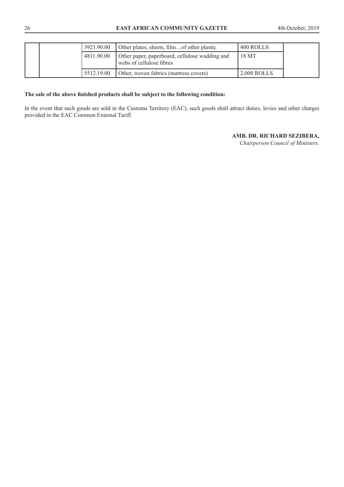## 26 **EAST AFRICAN COMMUNITY GAZETTE** 4th October, 2019

|  |            | 3921.90.00                                                                 | Other plates, sheets, filmof other plastic | 400 ROLLS     |  |
|--|------------|----------------------------------------------------------------------------|--------------------------------------------|---------------|--|
|  | 4811.90.00 | Other paper, paperboard, cellulose wadding and<br>webs of cellulose fibres | 18 MT                                      |               |  |
|  |            | 5512.19.00                                                                 | Other, woven fabrics (mattress covers)     | $2.000$ ROLLS |  |

#### **The sale of the above finished products shall be subject to the following condition:**

In the event that such goods are sold in the Customs Territory (EAC), such goods shall attract duties, levies and other charges provided in the EAC Common External Tariff.

## **AMB. DR. RICHARD SEZIBERA,**

*Chairperson Council of Ministers.*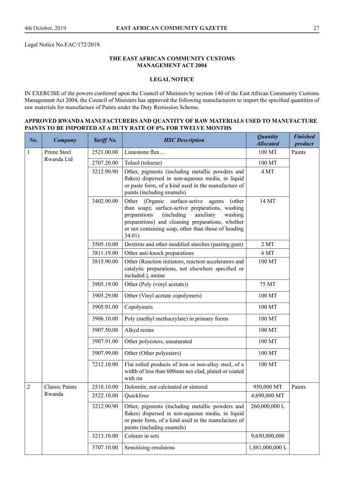Legal Notice No.EAC/172/2019.

## **THE EAST AFRICAN COMMUNITY CUSTOMS MANAGEMENT ACT 2004**

# **LEGAL NOTICE**

IN EXERCISE of the powers conferred upon the Council of Ministers by section 140 of the East African Community Customs Management Act 2004, the Council of Ministers has approved the following manufacturers to import the specified quantities of raw materials for manufacture of Paints under the Duty Remission Scheme.

## **APPROVED RWANDA MANUFACTURERS AND QUANTITY OF RAW MATERIALS USED TO MANUFACTURE PAINTS TO BE IMPORTED AT A DUTY RATE OF 0% FOR TWELVE MONTHS**

| $N0$ .         | <b>Company</b>        | Tariff No. | <b>HSC</b> Description                                                                                                                                                                                                                                                            | <b>Quantity</b><br><b>Allocated</b> | <b>Finished</b><br>product |
|----------------|-----------------------|------------|-----------------------------------------------------------------------------------------------------------------------------------------------------------------------------------------------------------------------------------------------------------------------------------|-------------------------------------|----------------------------|
| $\mathbf{1}$   | Prime Steel           | 2521.00.00 | Limestone flux                                                                                                                                                                                                                                                                    | 100 MT                              | Paints                     |
|                | Rwanda Ltd            | 2707.20.00 | Toluol (toluene)                                                                                                                                                                                                                                                                  | 100 MT                              |                            |
|                |                       | 3212.90.90 | Other, pigments (including metallic powders and<br>flakes) dispersed in non-aqueous media, in liquid<br>or paste form, of a kind used in the manufacture of<br>paints (including enamels)                                                                                         | 4 MT                                |                            |
|                |                       | 3402.90.00 | Other (Organic surface-active<br>agents<br>(other<br>than soap); surface-active preparations, washing<br>preparations<br>(including)<br>auxiliary<br>washing<br>preparations) and cleaning preparations, whether<br>or not containing soap, other than those of heading<br>34.01) | 14 MT                               |                            |
|                |                       | 3505.10.00 | Dextrins and other modified starches (pasting gum)                                                                                                                                                                                                                                | 2MT                                 |                            |
|                |                       | 3811.19.00 | Other anti-knock preparations                                                                                                                                                                                                                                                     | 6 MT                                |                            |
|                |                       | 3815.90.00 | Other (Reaction initiators, reaction accelerators and<br>catalytic preparations, not elsewhere specified or<br>included.), amine                                                                                                                                                  | 100 MT                              |                            |
|                |                       | 3905.19.00 | Other (Poly (vinyl acetate))                                                                                                                                                                                                                                                      | 75 MT                               |                            |
|                |                       | 3905.29.00 | Other (Vinyl acetate copolymers)                                                                                                                                                                                                                                                  | 100 MT                              |                            |
|                |                       | 3905.91.00 | Copolymers                                                                                                                                                                                                                                                                        | 100 MT                              |                            |
|                |                       | 3906.10.00 | Poly (methyl methacrylate) in primary forms                                                                                                                                                                                                                                       | 100 MT                              |                            |
|                |                       | 3907.50.00 | Alkyd resins                                                                                                                                                                                                                                                                      | 100 MT                              |                            |
|                |                       | 3907.91.00 | Other polyesters, unsaturated                                                                                                                                                                                                                                                     | 100 MT                              |                            |
|                |                       | 3907.99.00 | Other (Other polyesters)                                                                                                                                                                                                                                                          | 100 MT                              |                            |
|                |                       | 7212.10.00 | Flat rolled products of iron or non-alloy steel, of a<br>width of less than 600mm nes clad, plated or coated<br>with tin                                                                                                                                                          | 100 MT                              |                            |
| $\overline{2}$ | <b>Classic Paints</b> | 2518.10.00 | Dolomite, not calcinated or sintered                                                                                                                                                                                                                                              | 950,000 MT                          | Paints                     |
|                | Rwanda                | 2522.10.00 | Quicklime                                                                                                                                                                                                                                                                         | 4,690,000 MT                        |                            |
|                |                       | 3212.90.90 | Other, pigments (including metallic powders and<br>flakes) dispersed in non-aqueous media, in liquid<br>or paste form, of a kind used in the manufacture of<br>paints (including enamels)                                                                                         | 260,000,000 L                       |                            |
|                |                       | 3213.10.00 | Colours in sets                                                                                                                                                                                                                                                                   | 9,650,000,000                       |                            |
|                |                       | 3707.10.00 | Sensitising emulsions                                                                                                                                                                                                                                                             | 1,881,000,000L                      |                            |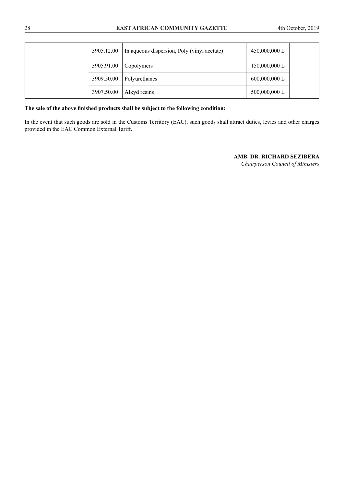| 3905.12.00 | In aqueous dispersion, Poly (vinyl acetate) | 450,000,000 L   |
|------------|---------------------------------------------|-----------------|
| 3905.91.00 | Copolymers                                  | 150,000,000 L   |
| 3909.50.00 | Polyurethanes                               | $600,000,000$ L |
| 3907.50.00 | Alkyd resins                                | 500,000,000 L   |

# **The sale of the above finished products shall be subject to the following condition:**

In the event that such goods are sold in the Customs Territory (EAC), such goods shall attract duties, levies and other charges provided in the EAC Common External Tariff.

# **AMB. DR. RICHARD SEZIBERA**

*Chairperson Council of Ministers*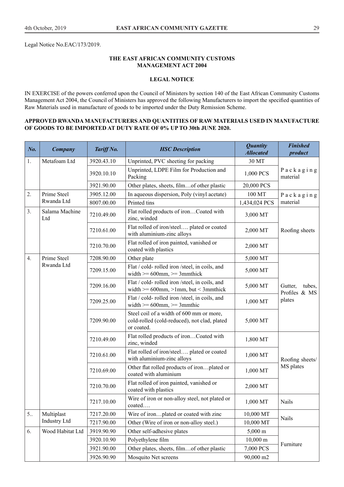Legal Notice No.EAC/173/2019.

## **THE EAST AFRICAN COMMUNITY CUSTOMS MANAGEMENT ACT 2004**

## **LEGAL NOTICE**

IN EXERCISE of the powers conferred upon the Council of Ministers by section 140 of the East African Community Customs Management Act 2004, the Council of Ministers has approved the following Manufacturers to import the specified quantities of Raw Materials used in manufacture of goods to be imported under the Duty Remission Scheme.

## **APPROVED RWANDA MANUFACTURERS AND QUANTITIES OF RAW MATERIALS USED IN MANUFACTURE OF GOODS TO BE IMPORTED AT DUTY RATE OF 0% UP TO 30th JUNE 2020.**

| No.          | <b>Company</b>        | Tariff No. | <b>HSC</b> Description                                                                                 | <b>Quantity</b><br><b>Allocated</b> | <b>Finished</b><br>product         |
|--------------|-----------------------|------------|--------------------------------------------------------------------------------------------------------|-------------------------------------|------------------------------------|
| 1.           | Metafoam Ltd          | 3920.43.10 | Unprinted, PVC sheeting for packing                                                                    | 30 MT                               |                                    |
|              |                       | 3920.10.10 | Unprinted, LDPE Film for Production and<br>Packing                                                     | 1,000 PCS                           | Packaging<br>material              |
|              |                       | 3921.90.00 | Other plates, sheets, filmof other plastic                                                             | 20,000 PCS                          |                                    |
| 2.           | Prime Steel           | 3905.12.00 | In aqueous dispersion, Poly (vinyl acetate)                                                            | 100 MT                              | Packaging                          |
|              | Rwanda Ltd            | 8007.00.00 | Printed tins                                                                                           | 1,434,024 PCS                       | material                           |
| 3.           | Salama Machine<br>Ltd | 7210.49.00 | Flat rolled products of ironCoated with<br>zinc, winded                                                | 3,000 MT                            |                                    |
|              |                       | 7210.61.00 | Flat rolled of iron/steel plated or coated<br>with aluminium-zinc alloys                               | 2,000 MT                            | Roofing sheets                     |
|              |                       | 7210.70.00 | Flat rolled of iron painted, vanished or<br>coated with plastics                                       | 2,000 MT                            |                                    |
| 4.           | Prime Steel           | 7208.90.00 | Other plate                                                                                            | 5,000 MT                            |                                    |
|              | Rwanda Ltd            | 7209.15.00 | Flat / cold- rolled iron /steel, in coils, and<br>width $\geq 600$ mm, $\geq 3$ mmthick                | 5,000 MT                            |                                    |
|              |                       | 7209.16.00 | Flat / cold- rolled iron /steel, in coils, and<br>width $>= 600$ mm, $> 1$ mm, but < 3mmthick          | 5,000 MT                            | Gutter,<br>tubes,<br>Profiles & MS |
|              |                       | 7209.25.00 | Flat / cold- rolled iron /steel, in coils, and<br>width $\geq 600$ mm, $\geq 3$ mmthic                 | 1,000 MT                            | plates                             |
|              |                       | 7209.90.00 | Steel coil of a width of 600 mm or more,<br>cold-rolled (cold-reduced), not clad, plated<br>or coated. | 5,000 MT                            |                                    |
|              |                       | 7210.49.00 | Flat rolled products of ironCoated with<br>zinc, winded                                                | 1,800 MT                            |                                    |
|              |                       | 7210.61.00 | Flat rolled of iron/steel plated or coated<br>with aluminium-zinc alloys                               | 1,000 MT                            | Roofing sheets/                    |
|              |                       | 7210.69.00 | Other flat rolled products of ironplated or<br>coated with aluminium                                   | 1,000 MT                            | MS plates                          |
|              |                       | 7210.70.00 | Flat rolled of iron painted, vanished or<br>coated with plastics                                       | 2,000 MT                            |                                    |
|              |                       | 7217.10.00 | Wire of iron or non-alloy steel, not plated or<br>coated                                               | 1,000 MT                            | Nails                              |
| $5_{\ldots}$ | Multiplast            | 7217.20.00 | Wire of ironplated or coated with zinc                                                                 | 10,000 MT                           | Nails                              |
|              | Industry Ltd          | 7217.90.00 | Other (Wire of iron or non-alloy steel.)                                                               | 10,000 MT                           |                                    |
| 6.           | Wood Habitat Ltd      | 3919.90.90 | Other self-adhesive plates                                                                             | $5,000 \text{ m}$                   |                                    |
|              |                       | 3920.10.90 | Polyethylene film                                                                                      | $10,000 \text{ m}$                  | Furniture                          |
|              |                       | 3921.90.00 | Other plates, sheets, filmof other plastic                                                             | 7,000 PCS                           |                                    |
|              |                       | 3926.90.90 | Mosquito Net screens                                                                                   | 90,000 m2                           |                                    |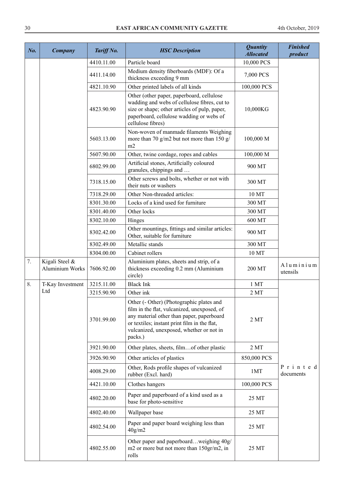| No. | Company                                  | Tariff No. | <b>HSC</b> Description                                                                                                                                                                                                                      | <b>Quantity</b><br><b>Allocated</b> | <b>Finished</b><br>product |
|-----|------------------------------------------|------------|---------------------------------------------------------------------------------------------------------------------------------------------------------------------------------------------------------------------------------------------|-------------------------------------|----------------------------|
|     |                                          | 4410.11.00 | Particle board                                                                                                                                                                                                                              | 10,000 PCS                          |                            |
|     |                                          | 4411.14.00 | Medium density fiberboards (MDF): Of a<br>thickness exceeding 9 mm                                                                                                                                                                          | 7,000 PCS                           |                            |
|     |                                          | 4821.10.90 | Other printed labels of all kinds                                                                                                                                                                                                           | 100,000 PCS                         |                            |
|     |                                          | 4823.90.90 | Other (other paper, paperboard, cellulose<br>wadding and webs of cellulose fibres, cut to<br>size or shape; other articles of pulp, paper,<br>paperboard, cellulose wadding or webs of<br>cellulose fibres)                                 | 10,000KG                            |                            |
|     |                                          | 5603.13.00 | Non-woven of manmade filaments Weighing<br>more than 70 g/m2 but not more than 150 g/<br>m2                                                                                                                                                 | 100,000 M                           |                            |
|     |                                          | 5607.90.00 | Other, twine cordage, ropes and cables                                                                                                                                                                                                      | 100,000 M                           |                            |
|     |                                          | 6802.99.00 | Artificial stones, Artificially coloured<br>granules, chippings and                                                                                                                                                                         | 900 MT                              |                            |
|     |                                          | 7318.15.00 | Other screws and bolts, whether or not with<br>their nuts or washers                                                                                                                                                                        | 300 MT                              |                            |
|     |                                          | 7318.29.00 | Other Non-threaded articles:                                                                                                                                                                                                                | 10 MT                               |                            |
|     |                                          | 8301.30.00 | Locks of a kind used for furniture                                                                                                                                                                                                          | 300 MT                              |                            |
|     |                                          | 8301.40.00 | Other locks                                                                                                                                                                                                                                 | 300 MT                              |                            |
|     |                                          | 8302.10.00 | Hinges                                                                                                                                                                                                                                      | 600 MT                              |                            |
|     |                                          | 8302.42.00 | Other mountings, fittings and similar articles:<br>Other, suitable for furniture                                                                                                                                                            | 900 MT                              |                            |
|     |                                          | 8302.49.00 | Metallic stands                                                                                                                                                                                                                             | 300 MT                              |                            |
|     |                                          | 8304.00.00 | Cabinet rollers                                                                                                                                                                                                                             | 10 MT                               |                            |
| 7.  | Kigali Steel &<br><b>Aluminium Works</b> | 7606.92.00 | Aluminium plates, sheets and strip, of a<br>thickness exceeding 0.2 mm (Aluminium<br>circle)                                                                                                                                                | 200 MT                              | Aluminium<br>utensils      |
| 8.  | T-Kay Investment                         | 3215.11.00 | <b>Black Ink</b>                                                                                                                                                                                                                            | 1 <sub>MT</sub>                     |                            |
|     | Ltd                                      | 3215.90.90 | Other ink                                                                                                                                                                                                                                   | 2MT                                 |                            |
|     |                                          | 3701.99.00 | Other (- Other) (Photographic plates and<br>film in the flat, vulcanized, unexposed, of<br>any material other than paper, paperboard<br>or textiles; instant print film in the flat,<br>vulcanized, unexposed, whether or not in<br>packs.) | 2MT                                 |                            |
|     |                                          | 3921.90.00 | Other plates, sheets, filmof other plastic                                                                                                                                                                                                  | 2MT                                 |                            |
|     |                                          | 3926.90.90 | Other articles of plastics                                                                                                                                                                                                                  | 850,000 PCS                         |                            |
|     |                                          | 4008.29.00 | Other, Rods profile shapes of vulcanized<br>rubber (Excl. hard)                                                                                                                                                                             | 1MT                                 | Printed<br>documents       |
|     |                                          | 4421.10.00 | Clothes hangers                                                                                                                                                                                                                             | 100,000 PCS                         |                            |
|     |                                          | 4802.20.00 | Paper and paperboard of a kind used as a<br>base for photo-sensitive                                                                                                                                                                        | 25 MT                               |                            |
|     |                                          | 4802.40.00 | Wallpaper base                                                                                                                                                                                                                              | 25 MT                               |                            |
|     |                                          | 4802.54.00 | Paper and paper board weighing less than<br>40g/m2                                                                                                                                                                                          | 25 MT                               |                            |
|     |                                          | 4802.55.00 | Other paper and paperboardweighing 40g/<br>m2 or more but not more than 150gr/m2, in<br>rolls                                                                                                                                               | 25 MT                               |                            |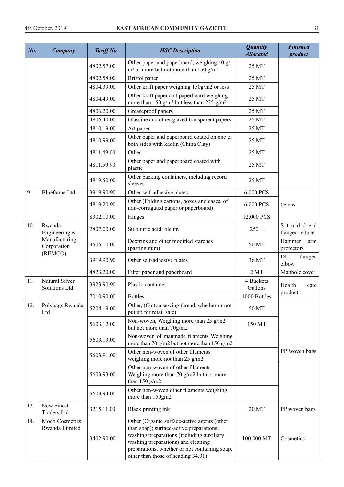| No. | Company                           | Tariff No. | <b>HSC</b> Description                                                                                                                                                                                                                                            | <b>Quantity</b><br><b>Allocated</b> | <b>Finished</b><br>product  |
|-----|-----------------------------------|------------|-------------------------------------------------------------------------------------------------------------------------------------------------------------------------------------------------------------------------------------------------------------------|-------------------------------------|-----------------------------|
|     |                                   | 4802.57.00 | Other paper and paperboard, weighing 40 g/<br>$m2$ or more but not more than 150 g/m <sup>2</sup>                                                                                                                                                                 | 25 MT                               |                             |
|     |                                   | 4802.58.00 | Bristol paper                                                                                                                                                                                                                                                     | 25 MT                               |                             |
|     |                                   | 4804.39.00 | Other kraft paper weighing 150g/m2 or less                                                                                                                                                                                                                        | 25 MT                               |                             |
|     |                                   | 4804.49.00 | Other kraft paper and paperboard weighing<br>more than 150 g/m <sup>2</sup> but less than 225 g/m <sup>2</sup>                                                                                                                                                    | 25 MT                               |                             |
|     |                                   | 4806.20.00 | Greaseproof papers                                                                                                                                                                                                                                                | 25 MT                               |                             |
|     |                                   | 4806.40.00 | Glassine and other glazed transparent papers                                                                                                                                                                                                                      | 25 MT                               |                             |
|     |                                   | 4810.19.00 | Art paper                                                                                                                                                                                                                                                         | 25 MT                               |                             |
|     |                                   | 4810.99.00 | Other paper and paperboard coated on one or<br>both sides with kaolin (China Clay)                                                                                                                                                                                | 25 MT                               |                             |
|     |                                   | 4811.49.00 | Other                                                                                                                                                                                                                                                             | 25 MT                               |                             |
|     |                                   | 4811.59.90 | Other paper and paperboard coated with<br>plastic                                                                                                                                                                                                                 | 25 MT                               |                             |
|     |                                   | 4819.50.00 | Other packing containers, including record<br>sleeves                                                                                                                                                                                                             | 25 MT                               |                             |
| 9.  | <b>Blueflame</b> Ltd              | 3919.90.90 | Other self-adhesive plates                                                                                                                                                                                                                                        | 6,000 PCS                           |                             |
|     |                                   | 4819.20.90 | Other (Folding cartons, boxes and cases, of<br>non-corrugated paper or paperboard)                                                                                                                                                                                | 6,000 PCS                           | Ovens                       |
|     |                                   | 8302.10.00 | Hinges                                                                                                                                                                                                                                                            | 12,000 PCS                          |                             |
| 10. | Rwanda<br>Engineering &           | 2807.00.00 | Sulphuric acid; oleum                                                                                                                                                                                                                                             | 250 L                               | Studded<br>flanged reducer  |
|     | Manufacturing<br>Corporation      | 3505.10.00 | Dextrins and other modified starches<br>(pasting gum)                                                                                                                                                                                                             | 50 MT                               | Hammer<br>arm<br>protectors |
|     | (REMCO)                           | 3919.90.90 | Other self-adhesive plates                                                                                                                                                                                                                                        | 36 MT                               | DL<br>flanged<br>elbow      |
|     |                                   | 4823.20.00 | Filter paper and paperboard                                                                                                                                                                                                                                       | 2MT                                 | Manhole cover               |
| 11. | Natural Silver<br>Solutions Ltd   | 3923.90.90 | Plastic container                                                                                                                                                                                                                                                 | 4 Buckets<br>Gallons                | Health<br>care              |
|     |                                   | 7010.90.00 | <b>Bottles</b>                                                                                                                                                                                                                                                    | 1000 Bottles                        | product                     |
| 12. | Polybags Rwanda<br>Ltd            | 5204.19.00 | Other, (Cotton sewing thread, whether or not<br>put up for retail sale)                                                                                                                                                                                           | 50 MT                               |                             |
|     |                                   | 5603.12.00 | Non-woven, Weighing more than 25 g/m2<br>but not more than 70g/m2                                                                                                                                                                                                 | 150 MT                              |                             |
|     |                                   | 5603.13.00 | Non-woven of manmade filaments Weighing<br>more than 70 g/m2 but not more than 150 g/m2                                                                                                                                                                           |                                     |                             |
|     |                                   | 5603.91.00 | Other non-woven of other filaments<br>weighing more not than 25 g/m2                                                                                                                                                                                              |                                     | PP Woven bags               |
|     |                                   | 5603.93.00 | Other non-woven of other filaments<br>Weighing more than 70 $g/m2$ but not more<br>than $150$ g/m2                                                                                                                                                                |                                     |                             |
|     |                                   | 5603.94.00 | Other non-woven other filaments weighing<br>more than 150gm2                                                                                                                                                                                                      |                                     |                             |
| 13. | New Finest<br><b>Traders Ltd</b>  | 3215.11.00 | Black printing ink                                                                                                                                                                                                                                                | 20 MT                               | PP woven bags               |
| 14. | Moeti Cosmetics<br>Rwanda Limited | 3402.90.00 | Other (Organic surface-active agents (other<br>than soap); surface-active preparations,<br>washing preparations (including auxiliary<br>washing preparations) and cleaning<br>preparations, whether or not containing soap,<br>other than those of heading 34.01) | 100,000 MT                          | Cosmetics                   |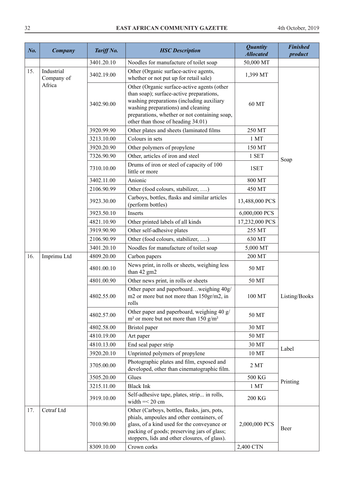| No. | Company                  | Tariff No. | <b>HSC</b> Description                                                                                                                                                                                                                                            | <b>Quantity</b><br><b>Allocated</b> | <b>Finished</b><br>product |
|-----|--------------------------|------------|-------------------------------------------------------------------------------------------------------------------------------------------------------------------------------------------------------------------------------------------------------------------|-------------------------------------|----------------------------|
|     |                          | 3401.20.10 | Noodles for manufacture of toilet soap                                                                                                                                                                                                                            | 50,000 MT                           |                            |
| 15. | Industrial<br>Company of | 3402.19.00 | Other (Organic surface-active agents,<br>whether or not put up for retail sale)                                                                                                                                                                                   | 1,399 MT                            |                            |
|     | Africa                   | 3402.90.00 | Other (Organic surface-active agents (other<br>than soap); surface-active preparations,<br>washing preparations (including auxiliary<br>washing preparations) and cleaning<br>preparations, whether or not containing soap,<br>other than those of heading 34.01) | 60 MT                               |                            |
|     |                          | 3920.99.90 | Other plates and sheets (laminated films                                                                                                                                                                                                                          | 250 MT                              |                            |
|     |                          | 3213.10.00 | Colours in sets                                                                                                                                                                                                                                                   | 1 <sub>MT</sub>                     |                            |
|     |                          | 3920.20.90 | Other polymers of propylene                                                                                                                                                                                                                                       | 150 MT                              |                            |
|     |                          | 7326.90.90 | Other, articles of iron and steel                                                                                                                                                                                                                                 | 1 SET                               |                            |
|     |                          | 7310.10.00 | Drums of iron or steel of capacity of 100<br>little or more                                                                                                                                                                                                       | 1SET                                | Soap                       |
|     |                          | 3402.11.00 | Anionic                                                                                                                                                                                                                                                           | 800 MT                              |                            |
|     |                          | 2106.90.99 | Other (food colours, stabilizer, )                                                                                                                                                                                                                                | 450 MT                              |                            |
|     |                          | 3923.30.00 | Carboys, bottles, flasks and similar articles<br>(perform bottles)                                                                                                                                                                                                | 13,488,000 PCS                      |                            |
|     |                          | 3923.50.10 | Inserts                                                                                                                                                                                                                                                           | 6,000,000 PCS                       |                            |
|     |                          | 4821.10.90 | Other printed labels of all kinds                                                                                                                                                                                                                                 | 17,232,000 PCS                      |                            |
|     |                          | 3919.90.90 | Other self-adhesive plates                                                                                                                                                                                                                                        | 255 MT                              |                            |
|     |                          | 2106.90.99 | Other (food colours, stabilizer, )                                                                                                                                                                                                                                | 630 MT                              |                            |
|     |                          | 3401.20.10 | Noodles for manufacture of toilet soap                                                                                                                                                                                                                            | 5,000 MT                            |                            |
| 16. | Imprimu Ltd              | 4809.20.00 | Carbon papers                                                                                                                                                                                                                                                     | 200 MT                              |                            |
|     |                          | 4801.00.10 | News print, in rolls or sheets, weighing less<br>than 42 gm2                                                                                                                                                                                                      | 50 MT                               |                            |
|     |                          | 4801.00.90 | Other news print, in rolls or sheets                                                                                                                                                                                                                              | 50 MT                               |                            |
|     |                          | 4802.55.00 | Other paper and paperboardweighing 40g/<br>m2 or more but not more than 150gr/m2, in<br>rolls                                                                                                                                                                     | 100 MT                              | Listing/Books              |
|     |                          | 4802.57.00 | Other paper and paperboard, weighing 40 g/<br>$m2$ or more but not more than 150 g/m <sup>2</sup>                                                                                                                                                                 | 50 MT                               |                            |
|     |                          | 4802.58.00 | Bristol paper                                                                                                                                                                                                                                                     | 30 MT                               |                            |
|     |                          | 4810.19.00 | Art paper                                                                                                                                                                                                                                                         | 50 MT                               |                            |
|     |                          | 4810.13.00 | End seal paper strip                                                                                                                                                                                                                                              | 30 MT                               | Label                      |
|     |                          | 3920.20.10 | Unprinted polymers of propylene                                                                                                                                                                                                                                   | 10 MT                               |                            |
|     |                          | 3705.00.00 | Photographic plates and film, exposed and<br>developed, other than cinematographic film.                                                                                                                                                                          | 2MT                                 |                            |
|     |                          | 3505.20.00 | Glues                                                                                                                                                                                                                                                             | 500 KG                              | Printing                   |
|     |                          | 3215.11.00 | <b>Black Ink</b>                                                                                                                                                                                                                                                  | 1 <sub>MT</sub>                     |                            |
|     |                          | 3919.10.00 | Self-adhesive tape, plates, strip in rolls,<br>width $=<$ 20 cm                                                                                                                                                                                                   | 200 KG                              |                            |
| 17. | Cetraf Ltd               | 7010.90.00 | Other (Carboys, bottles, flasks, jars, pots,<br>phials, ampoules and other containers, of<br>glass, of a kind used for the conveyance or<br>packing of goods; preserving jars of glass;<br>stoppers, lids and other closures, of glass).                          | 2,000,000 PCS                       | Beer                       |
|     |                          | 8309.10.00 | Crown corks                                                                                                                                                                                                                                                       | 2,400 CTN                           |                            |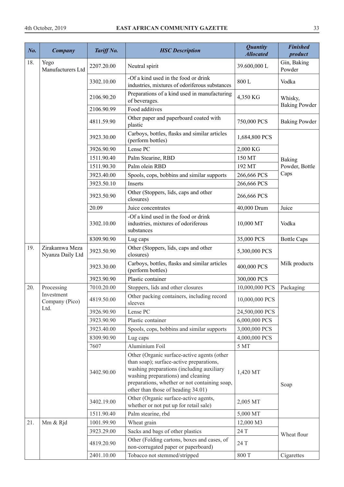| No. | Company                            | Tariff No. | <b>HSC</b> Description                                                                                                                                                                                                                                            | <b>Quantity</b><br><b>Allocated</b> | <b>Finished</b><br>product      |
|-----|------------------------------------|------------|-------------------------------------------------------------------------------------------------------------------------------------------------------------------------------------------------------------------------------------------------------------------|-------------------------------------|---------------------------------|
| 18. | Yego<br>Manufacturers Ltd          | 2207.20.00 | Neutral spirit                                                                                                                                                                                                                                                    | 39.600,000L                         | Gin, Baking<br>Powder           |
|     |                                    | 3302.10.00 | -Of a kind used in the food or drink<br>industries, mixtures of odoriferous substances                                                                                                                                                                            | 800L                                | Vodka                           |
|     |                                    | 2106.90.20 | Preparations of a kind used in manufacturing<br>of beverages.                                                                                                                                                                                                     | 4,350 KG                            | Whisky,<br><b>Baking Powder</b> |
|     |                                    | 2106.90.99 | Food additives                                                                                                                                                                                                                                                    |                                     |                                 |
|     |                                    | 4811.59.90 | Other paper and paperboard coated with<br>plastic                                                                                                                                                                                                                 | 750,000 PCS                         | <b>Baking Powder</b>            |
|     |                                    | 3923.30.00 | Carboys, bottles, flasks and similar articles<br>(perform bottles)                                                                                                                                                                                                | 1,684,800 PCS                       |                                 |
|     |                                    | 3926.90.90 | Lense PC                                                                                                                                                                                                                                                          | 2,000 KG                            |                                 |
|     |                                    | 1511.90.40 | Palm Stearine, RBD                                                                                                                                                                                                                                                | 150 MT                              | Baking                          |
|     |                                    | 1511.90.30 | Palm olein RBD                                                                                                                                                                                                                                                    | 192 MT                              | Powder, Bottle                  |
|     |                                    | 3923.40.00 | Spools, cops, bobbins and similar supports                                                                                                                                                                                                                        | 266,666 PCS                         | Caps                            |
|     |                                    | 3923.50.10 | Inserts                                                                                                                                                                                                                                                           | 266,666 PCS                         |                                 |
|     |                                    | 3923.50.90 | Other (Stoppers, lids, caps and other<br>closures)                                                                                                                                                                                                                | 266,666 PCS                         |                                 |
|     |                                    | 20.09      | Juice concentrates                                                                                                                                                                                                                                                | 40,000 Drum                         | Juice                           |
|     |                                    | 3302.10.00 | -Of a kind used in the food or drink<br>industries, mixtures of odoriferous<br>substances                                                                                                                                                                         | 10,000 MT                           | Vodka                           |
|     |                                    | 8309.90.90 | Lug caps                                                                                                                                                                                                                                                          | 35,000 PCS                          | <b>Bottle Caps</b>              |
| 19. | Zirakamwa Meza<br>Nyanza Daily Ltd | 3923.50.90 | Other (Stoppers, lids, caps and other<br>closures)                                                                                                                                                                                                                | 5,300,000 PCS                       |                                 |
|     |                                    | 3923.30.00 | Carboys, bottles, flasks and similar articles<br>(perform bottles)                                                                                                                                                                                                | 400,000 PCS                         | Milk products                   |
|     |                                    | 3923.90.90 | Plastic container                                                                                                                                                                                                                                                 | 300,000 PCS                         |                                 |
| 20. | Processing                         | 7010.20.00 | Stoppers, lids and other closures                                                                                                                                                                                                                                 | 10,000,000 PCS                      | Packaging                       |
|     | Investment<br>Company (Pico)       | 4819.50.00 | Other packing containers, including record<br>sleeves                                                                                                                                                                                                             | 10,000,000 PCS                      |                                 |
|     | Ltd.                               | 3926.90.90 | Lense PC                                                                                                                                                                                                                                                          | 24,500,000 PCS                      |                                 |
|     |                                    | 3923.90.90 | Plastic container                                                                                                                                                                                                                                                 | 6,000,000 PCS                       |                                 |
|     |                                    | 3923.40.00 | Spools, cops, bobbins and similar supports                                                                                                                                                                                                                        | 3,000,000 PCS                       |                                 |
|     |                                    | 8309.90.90 | Lug caps                                                                                                                                                                                                                                                          | 4,000,000 PCS                       |                                 |
|     |                                    | 7607       | Aluminium Foil                                                                                                                                                                                                                                                    | 5 MT                                |                                 |
|     |                                    | 3402.90.00 | Other (Organic surface-active agents (other<br>than soap); surface-active preparations,<br>washing preparations (including auxiliary<br>washing preparations) and cleaning<br>preparations, whether or not containing soap,<br>other than those of heading 34.01) | 1,420 MT                            | Soap                            |
|     |                                    | 3402.19.00 | Other (Organic surface-active agents,<br>whether or not put up for retail sale)                                                                                                                                                                                   | 2,005 MT                            |                                 |
|     |                                    | 1511.90.40 | Palm stearine, rbd                                                                                                                                                                                                                                                | 5,000 MT                            |                                 |
| 21. | Mm & Rjd                           | 1001.99.90 | Wheat grain                                                                                                                                                                                                                                                       | 12,000 M3                           |                                 |
|     |                                    | 3923.29.00 | Sacks and bags of other plastics                                                                                                                                                                                                                                  | 24 T                                | Wheat flour                     |
|     |                                    | 4819.20.90 | Other (Folding cartons, boxes and cases, of<br>non-corrugated paper or paperboard)                                                                                                                                                                                | 24 T                                |                                 |
|     |                                    | 2401.10.00 | Tobacco not stemmed/stripped                                                                                                                                                                                                                                      | 800 T                               | Cigarettes                      |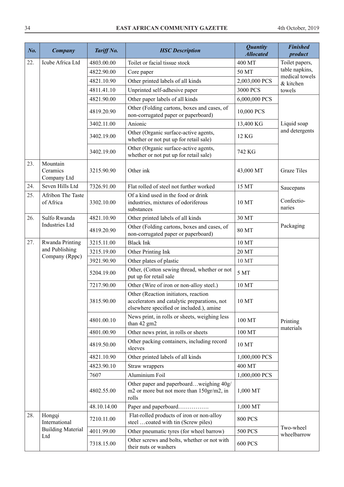| No. | <b>Company</b>                      | Tariff No.  | <b>HSC</b> Description                                                                                                           | <b>Quantity</b><br><b>Allocated</b> | <b>Finished</b><br>product  |
|-----|-------------------------------------|-------------|----------------------------------------------------------------------------------------------------------------------------------|-------------------------------------|-----------------------------|
| 22. | Icube Africa Ltd                    | 4803.00.00  | Toilet or facial tissue stock                                                                                                    | 400 MT                              | Toilet papers,              |
|     |                                     | 4822.90.00  | Core paper                                                                                                                       | 50 MT                               | table napkins,              |
|     |                                     | 4821.10.90  | Other printed labels of all kinds                                                                                                | 2,003,000 PCS                       | medical towels<br>& kitchen |
|     |                                     | 4811.41.10  | Unprinted self-adhesive paper                                                                                                    | 3000 PCS                            | towels                      |
|     |                                     | 4821.90.00  | Other paper labels of all kinds                                                                                                  | 6,000,000 PCS                       |                             |
|     |                                     | 4819.20.90  | Other (Folding cartons, boxes and cases, of<br>non-corrugated paper or paperboard)                                               | 10,000 PCS                          |                             |
|     |                                     | 3402.11.00  | Anionic                                                                                                                          | 13,400 KG                           | Liquid soap                 |
|     |                                     | 3402.19.00  | Other (Organic surface-active agents,<br>whether or not put up for retail sale)                                                  | 12 KG                               | and detergents              |
|     |                                     | 3402.19.00  | Other (Organic surface-active agents,<br>whether or not put up for retail sale)                                                  | 742 KG                              |                             |
| 23. | Mountain<br>Ceramics<br>Company Ltd | 3215.90.90  | Other ink                                                                                                                        | 43,000 MT                           | <b>Graze Tiles</b>          |
| 24. | Seven Hills Ltd                     | 7326.91.00  | Flat rolled of steel not further worked                                                                                          | 15 MT                               | Saucepans                   |
| 25. | Afribon The Taste<br>of Africa      | 3302.10.00  | Of a kind used in the food or drink<br>industries, mixtures of odoriferous<br>substances                                         | 10 MT                               | Confectio-<br>naries        |
| 26. | Sulfo Rwanda                        | 4821.10.90  | Other printed labels of all kinds                                                                                                | 30 MT                               |                             |
|     | <b>Industries Ltd</b>               | 4819.20.90  | Other (Folding cartons, boxes and cases, of<br>non-corrugated paper or paperboard)                                               | 80 MT                               | Packaging                   |
| 27. | Rwanda Printing                     | 3215.11.00  | <b>Black Ink</b>                                                                                                                 | 10 MT                               |                             |
|     | and Publishing                      | 3215.19.00  | Other Printing Ink                                                                                                               | 20 MT                               |                             |
|     | Company (Rppc)                      | 3921.90.90  | Other plates of plastic                                                                                                          | 10 MT                               |                             |
|     |                                     | 5204.19.00  | Other, (Cotton sewing thread, whether or not<br>put up for retail sale                                                           | 5 MT                                |                             |
|     |                                     | 7217.90.00  | Other (Wire of iron or non-alloy steel.)                                                                                         | 10 MT                               |                             |
|     |                                     | 3815.90.00  | Other (Reaction initiators, reaction<br>accelerators and catalytic preparations, not<br>elsewhere specified or included.), amine | 10MT                                |                             |
|     |                                     | 4801.00.10  | News print, in rolls or sheets, weighing less<br>than 42 gm2                                                                     | 100 MT                              | Printing<br>materials       |
|     |                                     | 4801.00.90  | Other news print, in rolls or sheets                                                                                             | 100 MT                              |                             |
|     |                                     | 4819.50.00  | Other packing containers, including record<br>sleeves                                                                            | 10 MT                               |                             |
|     |                                     | 4821.10.90  | Other printed labels of all kinds                                                                                                | 1,000,000 PCS                       |                             |
|     |                                     | 4823.90.10  | Straw wrappers                                                                                                                   | 400 MT                              |                             |
|     |                                     | 7607        | Aluminium Foil                                                                                                                   | 1,000,000 PCS                       |                             |
|     |                                     | 4802.55.00  | Other paper and paperboardweighing 40g/<br>m2 or more but not more than 150gr/m2, in<br>rolls                                    | 1,000 MT                            |                             |
|     |                                     | 48.10.14.00 | Paper and paperboard                                                                                                             | 1,000 MT                            |                             |
| 28. | Hongqi<br>International             | 7210.11.00  | Flat-rolled products of iron or non-alloy<br>steel coated with tin (Screw piles)                                                 | <b>800 PCS</b>                      |                             |
|     | <b>Building Material</b><br>Ltd     | 4011.99.00  | Other pneumatic tyres (for wheel barrow)                                                                                         | <b>500 PCS</b>                      | Two-wheel<br>wheelbarrow    |
|     |                                     | 7318.15.00  | Other screws and bolts, whether or not with<br>their nuts or washers                                                             | <b>600 PCS</b>                      |                             |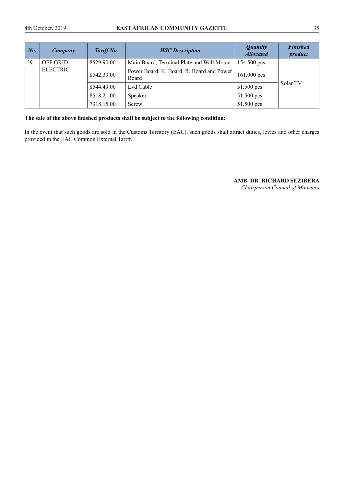| No. | Company         | Tariff No. | <b>HSC</b> Description                             | <i><b>Quantity</b></i><br><b>Allocated</b> | <b>Finished</b><br>product |
|-----|-----------------|------------|----------------------------------------------------|--------------------------------------------|----------------------------|
| 29. | <b>OFF GRID</b> | 8529.90.00 | Main Board, Terminal Plate and Wall Mount          | 154,500 pcs                                |                            |
|     | <b>ELECTRIC</b> | 8542.39.00 | Power Board, K. Board, R. Board and Power<br>Board | $161,000$ pcs                              |                            |
|     |                 | 8544.49.00 | Lvd Cable                                          | 51,500 pcs                                 | Solar TV                   |
|     |                 | 8518.21.00 | Speaker                                            | 51,500 pcs                                 |                            |
|     |                 | 7318.15.00 | Screw                                              | 51,500 pcs                                 |                            |

#### **The sale of the above finished products shall be subject to the following condition:**

In the event that such goods are sold in the Customs Territory (EAC), such goods shall attract duties, levies and other charges provided in the EAC Common External Tariff.

## **AMB. DR. RICHARD SEZIBERA**

*Chairperson Council of Ministers*